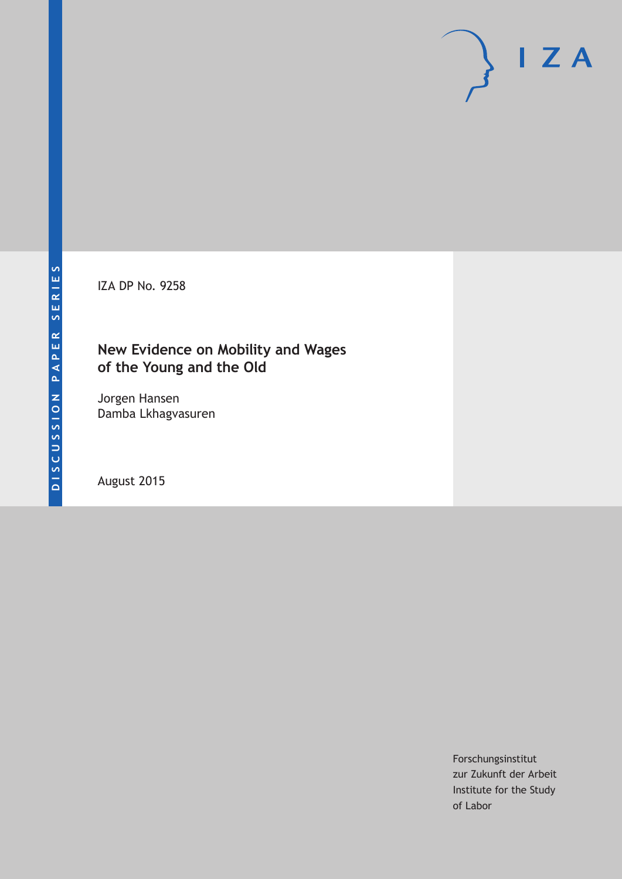IZA DP No. 9258

# **New Evidence on Mobility and Wages of the Young and the Old**

Jorgen Hansen Damba Lkhagvasuren

August 2015

Forschungsinstitut zur Zukunft der Arbeit Institute for the Study of Labor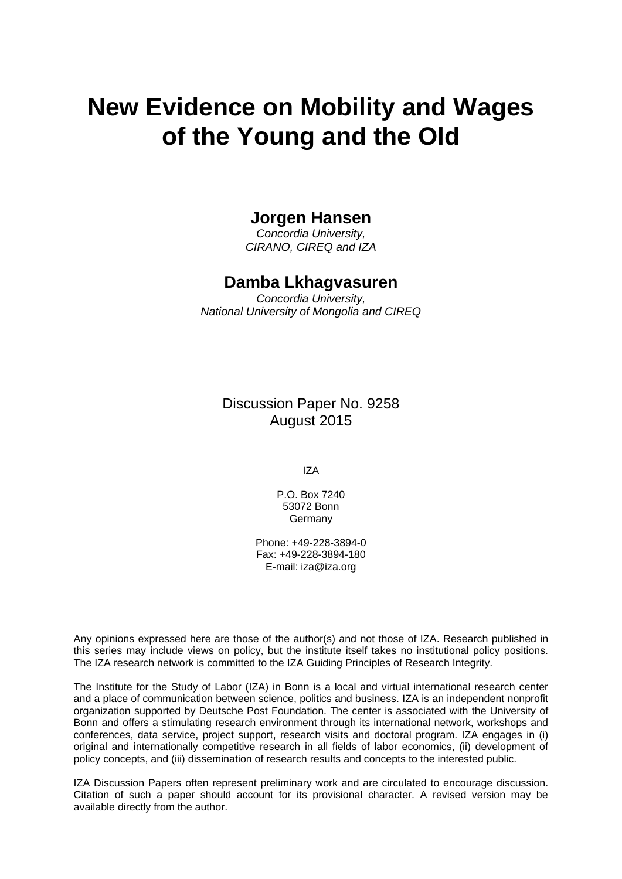# **New Evidence on Mobility and Wages of the Young and the Old**

### **Jorgen Hansen**

*Concordia University, CIRANO, CIREQ and IZA* 

### **Damba Lkhagvasuren**

*Concordia University, National University of Mongolia and CIREQ* 

Discussion Paper No. 9258 August 2015

IZA

P.O. Box 7240 53072 Bonn **Germany** 

Phone: +49-228-3894-0 Fax: +49-228-3894-180 E-mail: iza@iza.org

Any opinions expressed here are those of the author(s) and not those of IZA. Research published in this series may include views on policy, but the institute itself takes no institutional policy positions. The IZA research network is committed to the IZA Guiding Principles of Research Integrity.

The Institute for the Study of Labor (IZA) in Bonn is a local and virtual international research center and a place of communication between science, politics and business. IZA is an independent nonprofit organization supported by Deutsche Post Foundation. The center is associated with the University of Bonn and offers a stimulating research environment through its international network, workshops and conferences, data service, project support, research visits and doctoral program. IZA engages in (i) original and internationally competitive research in all fields of labor economics, (ii) development of policy concepts, and (iii) dissemination of research results and concepts to the interested public.

IZA Discussion Papers often represent preliminary work and are circulated to encourage discussion. Citation of such a paper should account for its provisional character. A revised version may be available directly from the author.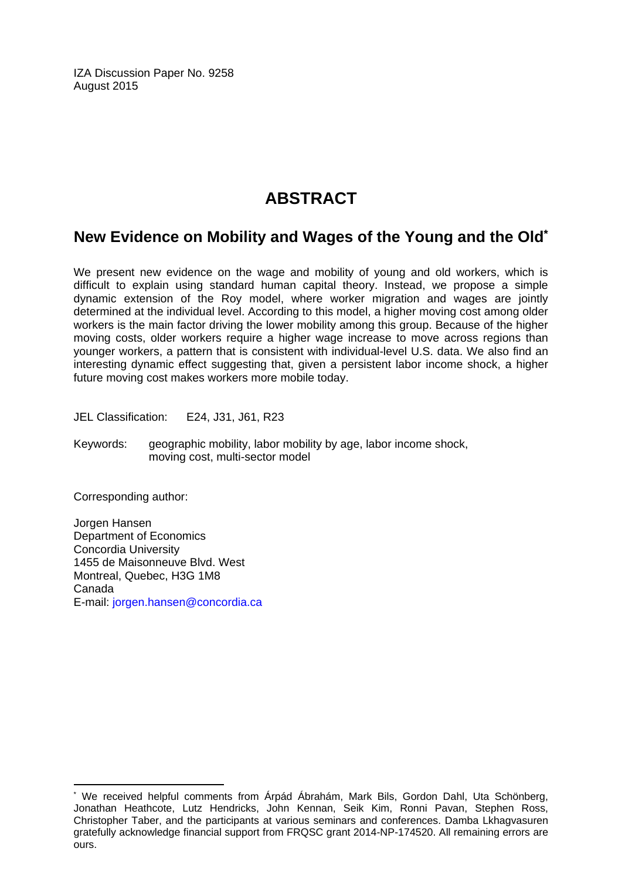IZA Discussion Paper No. 9258 August 2015

# **ABSTRACT**

# **New Evidence on Mobility and Wages of the Young and the Old\***

We present new evidence on the wage and mobility of young and old workers, which is difficult to explain using standard human capital theory. Instead, we propose a simple dynamic extension of the Roy model, where worker migration and wages are jointly determined at the individual level. According to this model, a higher moving cost among older workers is the main factor driving the lower mobility among this group. Because of the higher moving costs, older workers require a higher wage increase to move across regions than younger workers, a pattern that is consistent with individual-level U.S. data. We also find an interesting dynamic effect suggesting that, given a persistent labor income shock, a higher future moving cost makes workers more mobile today.

JEL Classification: E24, J31, J61, R23

Keywords: geographic mobility, labor mobility by age, labor income shock, moving cost, multi-sector model

Corresponding author:

 $\overline{a}$ 

Jorgen Hansen Department of Economics Concordia University 1455 de Maisonneuve Blvd. West Montreal, Quebec, H3G 1M8 Canada E-mail: jorgen.hansen@concordia.ca

<sup>\*</sup> We received helpful comments from Árpád Ábrahám, Mark Bils, Gordon Dahl, Uta Schönberg, Jonathan Heathcote, Lutz Hendricks, John Kennan, Seik Kim, Ronni Pavan, Stephen Ross, Christopher Taber, and the participants at various seminars and conferences. Damba Lkhagvasuren gratefully acknowledge financial support from FRQSC grant 2014-NP-174520. All remaining errors are ours.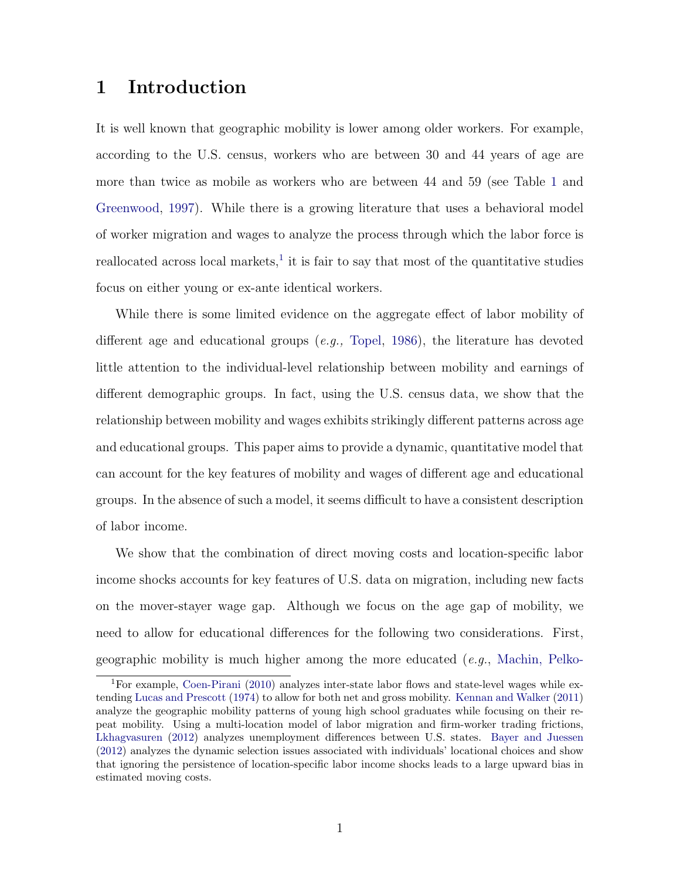# 1 Introduction

It is well known that geographic mobility is lower among older workers. For example, according to the U.S. census, workers who are between 30 and 44 years of age are more than twice as mobile as workers who are between 44 and 59 (see Table [1](#page-9-0) and [Greenwood,](#page-32-0) [1997\)](#page-32-0). While there is a growing literature that uses a behavioral model of worker migration and wages to analyze the process through which the labor force is reallocated across local markets,<sup>[1](#page-3-0)</sup> it is fair to say that most of the quantitative studies focus on either young or ex-ante identical workers.

While there is some limited evidence on the aggregate effect of labor mobility of different age and educational groups (e.g., [Topel,](#page-34-0) [1986\)](#page-34-0), the literature has devoted little attention to the individual-level relationship between mobility and earnings of different demographic groups. In fact, using the U.S. census data, we show that the relationship between mobility and wages exhibits strikingly different patterns across age and educational groups. This paper aims to provide a dynamic, quantitative model that can account for the key features of mobility and wages of different age and educational groups. In the absence of such a model, it seems difficult to have a consistent description of labor income.

We show that the combination of direct moving costs and location-specific labor income shocks accounts for key features of U.S. data on migration, including new facts on the mover-stayer wage gap. Although we focus on the age gap of mobility, we need to allow for educational differences for the following two considerations. First, geographic mobility is much higher among the more educated  $(e.g., \text{ Machin}, \text{Pelko-})$ 

<span id="page-3-0"></span><sup>1</sup>For example, [Coen-Pirani](#page-32-1) [\(2010\) analyzes inter-state labor flows and state-level wages while ex](#page-33-0)tending [Lucas and Prescott](#page-33-1) [\(1974\) to allow for both net and gross mobility.](#page-33-0) [Kennan and Walker](#page-33-2) [\(2011\)](#page-33-2) [analyze the geographic mobility patterns of young high school graduates while focusing on their re](#page-33-0)[peat mobility. Using a multi-location model of labor migration and firm-worker trading frictions,](#page-33-0) [Lkhagvasuren](#page-33-3) [\(2012\) analyzes unemployment differences between U.S. states.](#page-33-0) [Bayer and Juessen](#page-31-0) [\(2012\) analyzes the dynamic selection issues associated with individuals' locational choices and show](#page-33-0) [that ignoring the persistence of location-specific labor income shocks leads to a large upward bias in](#page-33-0) [estimated moving costs.](#page-33-0)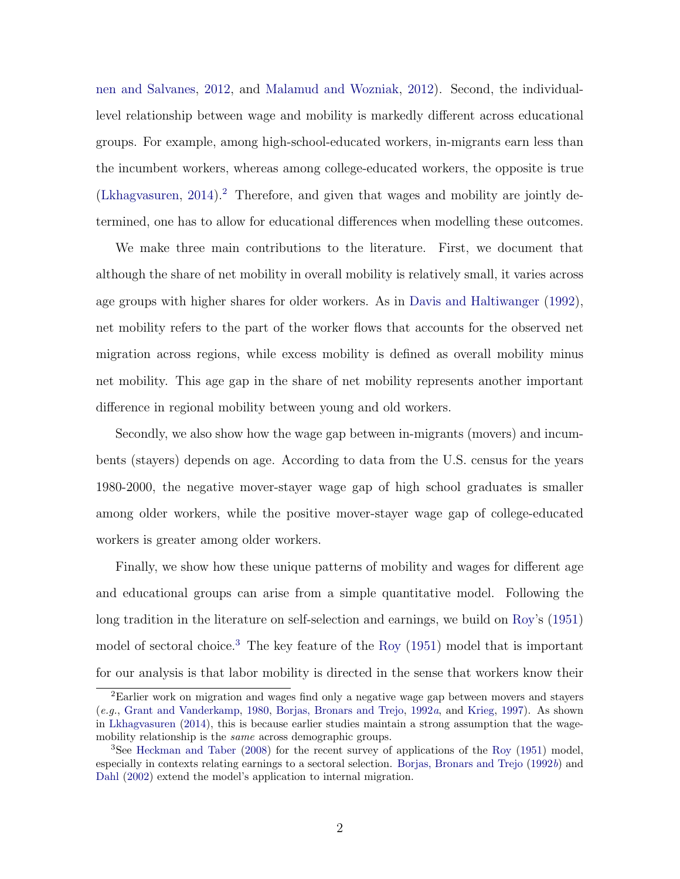[nen and Salvanes,](#page-33-0) [2012,](#page-33-0) and [Malamud and Wozniak,](#page-33-4) [2012\)](#page-33-4). Second, the individuallevel relationship between wage and mobility is markedly different across educational groups. For example, among high-school-educated workers, in-migrants earn less than the incumbent workers, whereas among college-educated workers, the opposite is true  $(Lkhagvasuren, 2014).$  $(Lkhagvasuren, 2014).$  $(Lkhagvasuren, 2014).$  $(Lkhagvasuren, 2014).$ <sup>[2](#page-4-0)</sup> Therefore, and given that wages and mobility are jointly determined, one has to allow for educational differences when modelling these outcomes.

We make three main contributions to the literature. First, we document that although the share of net mobility in overall mobility is relatively small, it varies across age groups with higher shares for older workers. As in [Davis and Haltiwanger](#page-32-2) [\(1992\)](#page-32-2), net mobility refers to the part of the worker flows that accounts for the observed net migration across regions, while excess mobility is defined as overall mobility minus net mobility. This age gap in the share of net mobility represents another important difference in regional mobility between young and old workers.

Secondly, we also show how the wage gap between in-migrants (movers) and incumbents (stayers) depends on age. According to data from the U.S. census for the years 1980-2000, the negative mover-stayer wage gap of high school graduates is smaller among older workers, while the positive mover-stayer wage gap of college-educated workers is greater among older workers.

Finally, we show how these unique patterns of mobility and wages for different age and educational groups can arise from a simple quantitative model. Following the long tradition in the literature on self-selection and earnings, we build on [Roy'](#page-33-6)s [\(1951\)](#page-33-6) model of sectoral choice.<sup>[3](#page-4-1)</sup> The key feature of the [Roy](#page-33-6)  $(1951)$  model that is important for our analysis is that labor mobility is directed in the sense that workers know their

<span id="page-4-0"></span><sup>2</sup>Earlier work on migration and wages find only a negative wage gap between movers and stayers (e.g., [Grant and Vanderkamp,](#page-32-3) [1980,](#page-32-3) [Borjas, Bronars and Trejo,](#page-31-1) [1992](#page-31-1)a, and [Krieg,](#page-33-7) [1997\)](#page-33-7). As shown in [Lkhagvasuren](#page-33-5) [\(2014\)](#page-33-5), this is because earlier studies maintain a strong assumption that the wagemobility relationship is the *same* across demographic groups.

<span id="page-4-1"></span><sup>3</sup>See [Heckman and Taber](#page-32-4) [\(2008\)](#page-32-4) for the recent survey of applications of the [Roy](#page-33-6) [\(1951\)](#page-33-6) model, especially in contexts relating earnings to a sectoral selection. [Borjas, Bronars and Trejo](#page-31-2) [\(1992](#page-31-2)b) and [Dahl](#page-32-5) [\(2002\)](#page-32-5) extend the model's application to internal migration.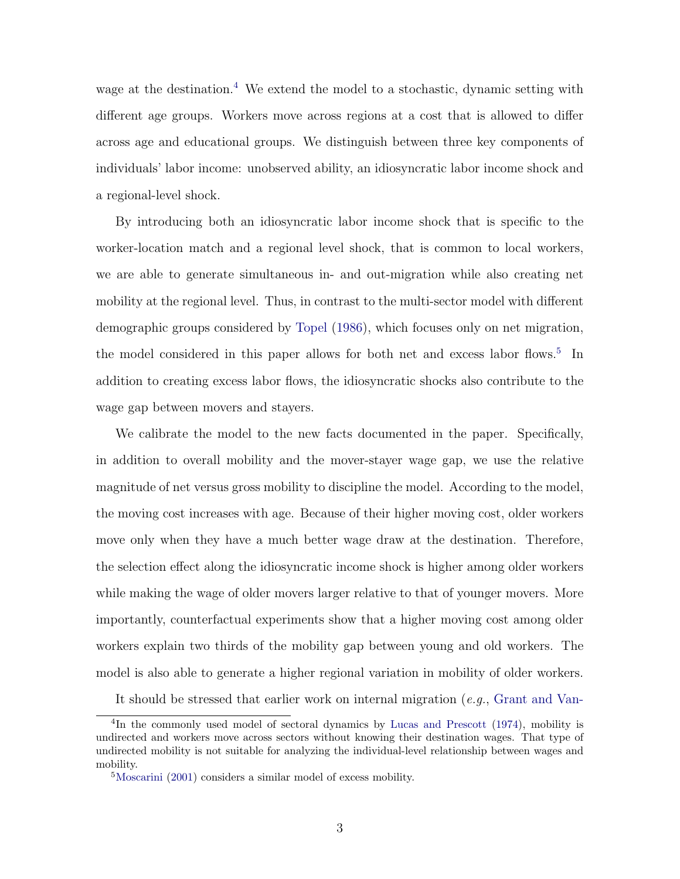wage at the destination.<sup>[4](#page-5-0)</sup> We extend the model to a stochastic, dynamic setting with different age groups. Workers move across regions at a cost that is allowed to differ across age and educational groups. We distinguish between three key components of individuals' labor income: unobserved ability, an idiosyncratic labor income shock and a regional-level shock.

By introducing both an idiosyncratic labor income shock that is specific to the worker-location match and a regional level shock, that is common to local workers, we are able to generate simultaneous in- and out-migration while also creating net mobility at the regional level. Thus, in contrast to the multi-sector model with different demographic groups considered by [Topel](#page-34-0) [\(1986\)](#page-34-0), which focuses only on net migration, the model considered in this paper allows for both net and excess labor flows.<sup>[5](#page-5-1)</sup> In addition to creating excess labor flows, the idiosyncratic shocks also contribute to the wage gap between movers and stayers.

We calibrate the model to the new facts documented in the paper. Specifically, in addition to overall mobility and the mover-stayer wage gap, we use the relative magnitude of net versus gross mobility to discipline the model. According to the model, the moving cost increases with age. Because of their higher moving cost, older workers move only when they have a much better wage draw at the destination. Therefore, the selection effect along the idiosyncratic income shock is higher among older workers while making the wage of older movers larger relative to that of younger movers. More importantly, counterfactual experiments show that a higher moving cost among older workers explain two thirds of the mobility gap between young and old workers. The model is also able to generate a higher regional variation in mobility of older workers.

<span id="page-5-0"></span>It should be stressed that earlier work on internal migration (e.g., [Grant and Van-](#page-32-3)

<sup>4</sup> [In the commonly used model of sectoral dynamics by](#page-32-3) [Lucas and Prescott](#page-33-1) [\(1974\)](#page-33-1), mobility is [undirected and workers move across sectors without knowing their destination wages. That type of](#page-32-3) [undirected mobility is not suitable for analyzing the individual-level relationship between wages and](#page-32-3) [mobility.](#page-32-3)

<span id="page-5-1"></span><sup>5</sup>[Moscarini](#page-33-8) [\(2001\) considers a similar model of excess mobility.](#page-32-3)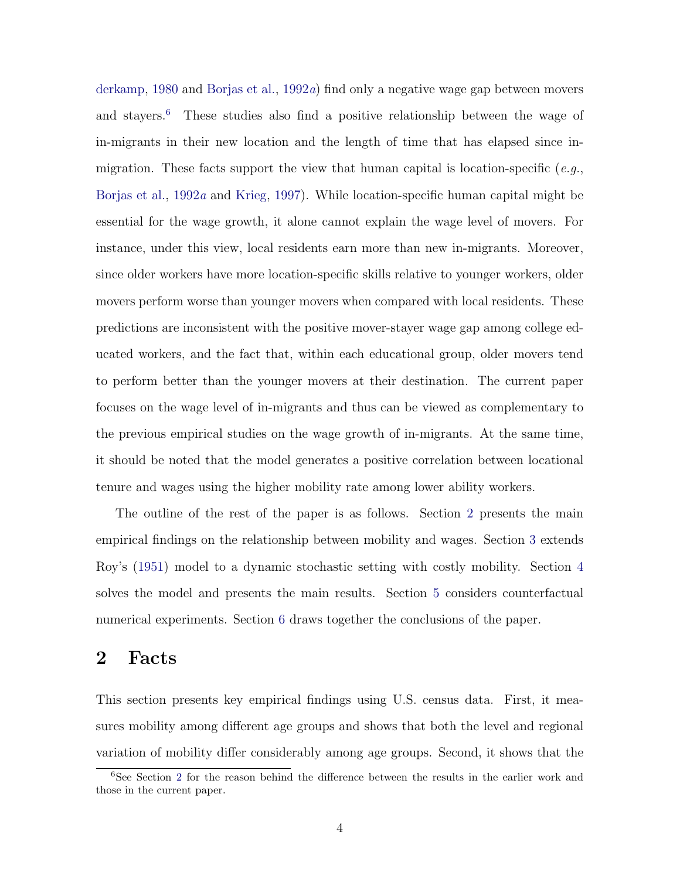[derkamp,](#page-32-3) [1980](#page-32-3) and [Borjas et al.,](#page-31-1) [1992](#page-31-1)a) find only a negative wage gap between movers and stayers.<sup>[6](#page-6-0)</sup> These studies also find a positive relationship between the wage of in-migrants in their new location and the length of time that has elapsed since inmigration. These facts support the view that human capital is location-specific (e.g., [Borjas et al.,](#page-31-1) [1992](#page-31-1)a and [Krieg,](#page-33-7) [1997\)](#page-33-7). While location-specific human capital might be essential for the wage growth, it alone cannot explain the wage level of movers. For instance, under this view, local residents earn more than new in-migrants. Moreover, since older workers have more location-specific skills relative to younger workers, older movers perform worse than younger movers when compared with local residents. These predictions are inconsistent with the positive mover-stayer wage gap among college educated workers, and the fact that, within each educational group, older movers tend to perform better than the younger movers at their destination. The current paper focuses on the wage level of in-migrants and thus can be viewed as complementary to the previous empirical studies on the wage growth of in-migrants. At the same time, it should be noted that the model generates a positive correlation between locational tenure and wages using the higher mobility rate among lower ability workers.

The outline of the rest of the paper is as follows. Section [2](#page-6-1) presents the main empirical findings on the relationship between mobility and wages. Section [3](#page-13-0) extends Roy's [\(1951\)](#page-33-6) model to a dynamic stochastic setting with costly mobility. Section [4](#page-20-0) solves the model and presents the main results. Section [5](#page-27-0) considers counterfactual numerical experiments. Section [6](#page-29-0) draws together the conclusions of the paper.

### <span id="page-6-1"></span>2 Facts

This section presents key empirical findings using U.S. census data. First, it measures mobility among different age groups and shows that both the level and regional variation of mobility differ considerably among age groups. Second, it shows that the

<span id="page-6-0"></span><sup>&</sup>lt;sup>6</sup>See Section [2](#page-6-1) for the reason behind the difference between the results in the earlier work and those in the current paper.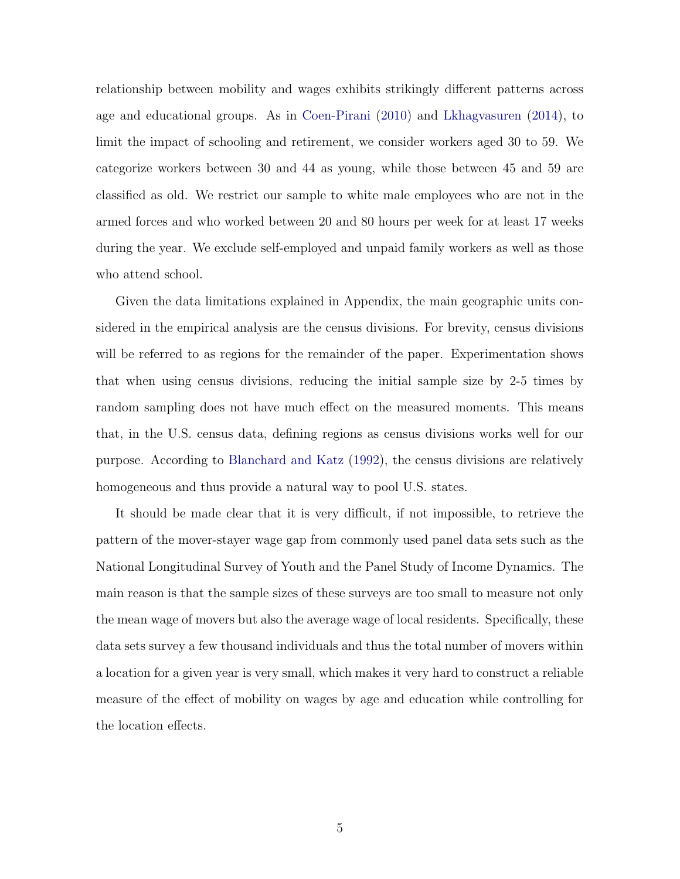relationship between mobility and wages exhibits strikingly different patterns across age and educational groups. As in [Coen-Pirani](#page-32-1) [\(2010\)](#page-32-1) and [Lkhagvasuren](#page-33-5) [\(2014\)](#page-33-5), to limit the impact of schooling and retirement, we consider workers aged 30 to 59. We categorize workers between 30 and 44 as young, while those between 45 and 59 are classified as old. We restrict our sample to white male employees who are not in the armed forces and who worked between 20 and 80 hours per week for at least 17 weeks during the year. We exclude self-employed and unpaid family workers as well as those who attend school.

Given the data limitations explained in Appendix, the main geographic units considered in the empirical analysis are the census divisions. For brevity, census divisions will be referred to as regions for the remainder of the paper. Experimentation shows that when using census divisions, reducing the initial sample size by 2-5 times by random sampling does not have much effect on the measured moments. This means that, in the U.S. census data, defining regions as census divisions works well for our purpose. According to [Blanchard and Katz](#page-31-3) [\(1992\)](#page-31-3), the census divisions are relatively homogeneous and thus provide a natural way to pool U.S. states.

It should be made clear that it is very difficult, if not impossible, to retrieve the pattern of the mover-stayer wage gap from commonly used panel data sets such as the National Longitudinal Survey of Youth and the Panel Study of Income Dynamics. The main reason is that the sample sizes of these surveys are too small to measure not only the mean wage of movers but also the average wage of local residents. Specifically, these data sets survey a few thousand individuals and thus the total number of movers within a location for a given year is very small, which makes it very hard to construct a reliable measure of the effect of mobility on wages by age and education while controlling for the location effects.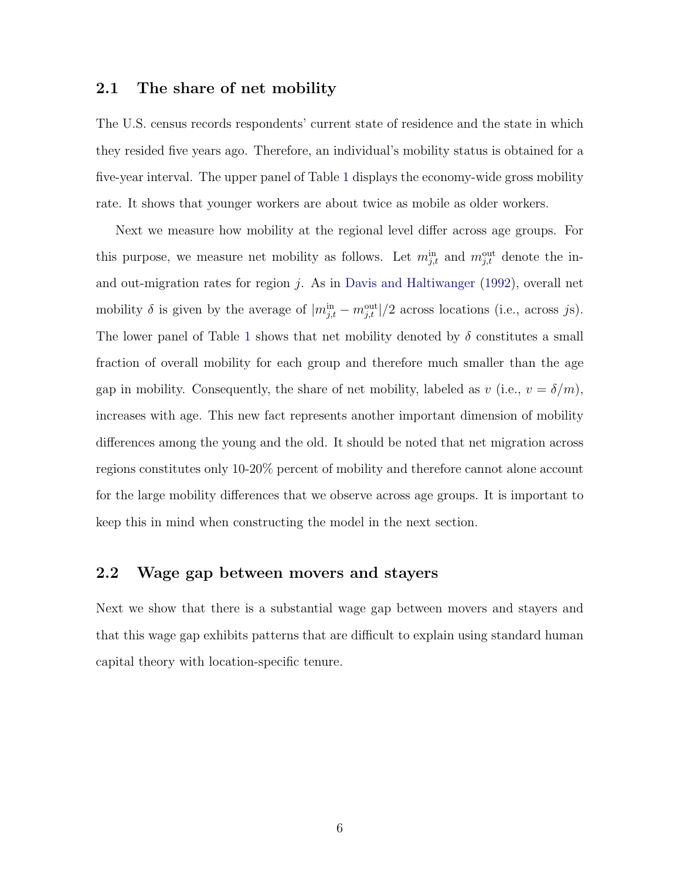#### 2.1 The share of net mobility

The U.S. census records respondents' current state of residence and the state in which they resided five years ago. Therefore, an individual's mobility status is obtained for a five-year interval. The upper panel of Table [1](#page-9-0) displays the economy-wide gross mobility rate. It shows that younger workers are about twice as mobile as older workers.

Next we measure how mobility at the regional level differ across age groups. For this purpose, we measure net mobility as follows. Let  $m_{j,t}^{\text{in}}$  and  $m_{j,t}^{\text{out}}$  denote the inand out-migration rates for region  $i$ . As in [Davis and Haltiwanger](#page-32-2) [\(1992\)](#page-32-2), overall net mobility  $\delta$  is given by the average of  $|m_{j,t}^{\text{in}} - m_{j,t}^{\text{out}}|/2$  across locations (i.e., across js). The lower panel of Table [1](#page-9-0) shows that net mobility denoted by  $\delta$  constitutes a small fraction of overall mobility for each group and therefore much smaller than the age gap in mobility. Consequently, the share of net mobility, labeled as v (i.e.,  $v = \delta/m$ ), increases with age. This new fact represents another important dimension of mobility differences among the young and the old. It should be noted that net migration across regions constitutes only 10-20% percent of mobility and therefore cannot alone account for the large mobility differences that we observe across age groups. It is important to keep this in mind when constructing the model in the next section.

#### 2.2 Wage gap between movers and stayers

Next we show that there is a substantial wage gap between movers and stayers and that this wage gap exhibits patterns that are difficult to explain using standard human capital theory with location-specific tenure.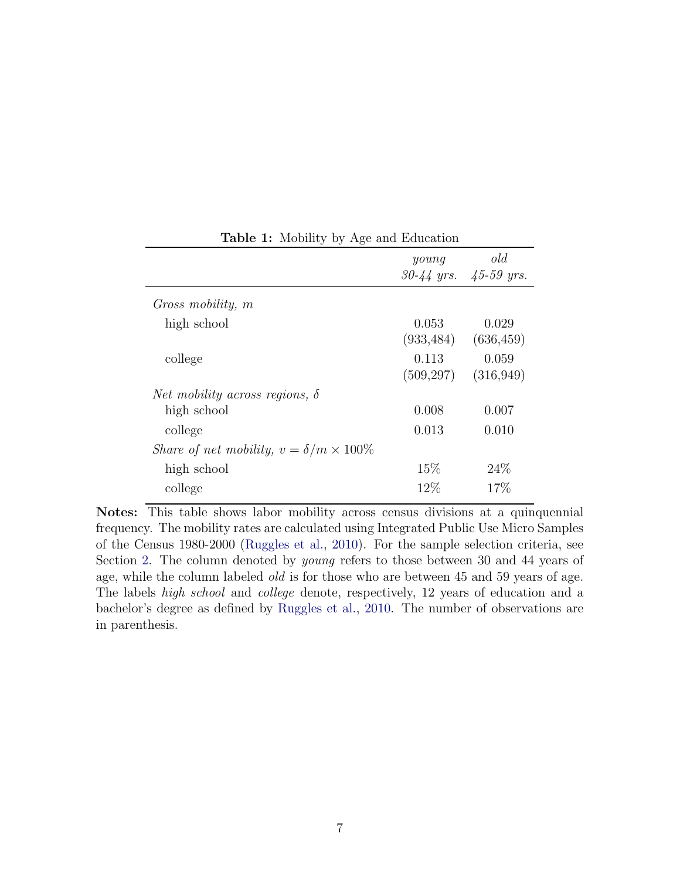<span id="page-9-0"></span>

|                                                         | young               | old<br>$30-44$ yrs. $45-59$ yrs. |
|---------------------------------------------------------|---------------------|----------------------------------|
| Gross mobility, m                                       |                     |                                  |
| high school                                             | 0.053<br>(933, 484) | 0.029<br>(636, 459)              |
| college                                                 | 0.113<br>(509, 297) | 0.059<br>(316,949)               |
| <i>Net mobility across regions, <math>\delta</math></i> |                     |                                  |
| high school                                             | 0.008               | 0.007                            |
| college                                                 | 0.013               | 0.010                            |
| Share of net mobility, $v = \delta/m \times 100\%$      |                     |                                  |
| high school                                             | 15\%                | 24%                              |
| college                                                 | $12\%$              | 17\%                             |

Table 1: Mobility by Age and Education

Notes: This table shows labor mobility across census divisions at a quinquennial frequency. The mobility rates are calculated using Integrated Public Use Micro Samples of the Census 1980-2000 [\(Ruggles et al.,](#page-33-9) [2010\)](#page-33-9). For the sample selection criteria, see Section [2.](#page-6-1) The column denoted by young refers to those between 30 and 44 years of age, while the column labeled *old* is for those who are between 45 and 59 years of age. The labels high school and college denote, respectively, 12 years of education and a bachelor's degree as defined by [Ruggles et al.,](#page-33-9) [2010.](#page-33-9) The number of observations are in parenthesis.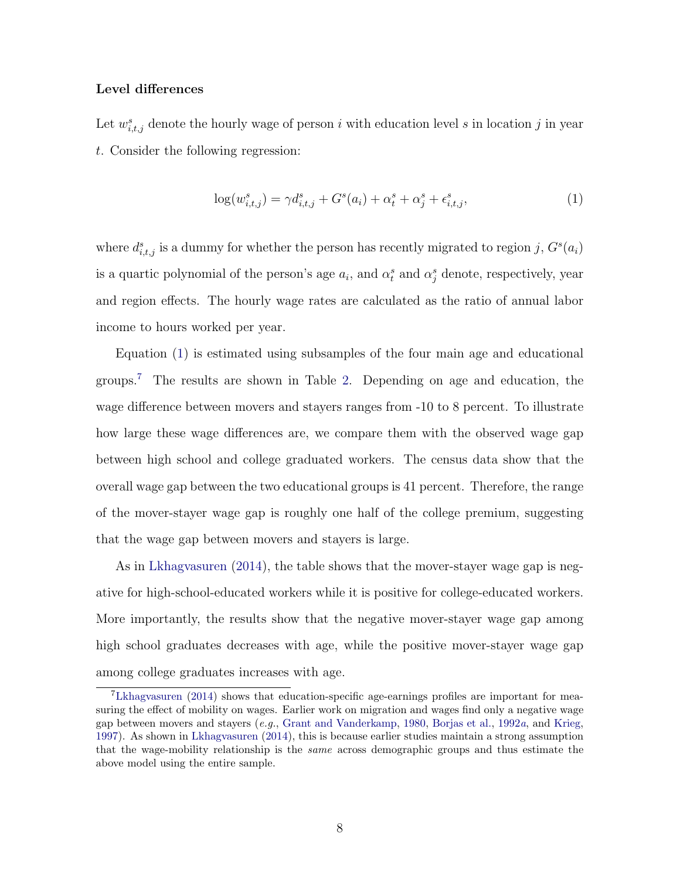#### Level differences

Let  $w_{i,t,j}^s$  denote the hourly wage of person i with education level s in location j in year t. Consider the following regression:

<span id="page-10-0"></span>
$$
\log(w_{i,t,j}^s) = \gamma d_{i,t,j}^s + G^s(a_i) + \alpha_t^s + \alpha_j^s + \epsilon_{i,t,j}^s,
$$
\n(1)

where  $d_{i,t,j}^s$  is a dummy for whether the person has recently migrated to region j,  $G^s(a_i)$ is a quartic polynomial of the person's age  $a_i$ , and  $\alpha_i^s$  and  $\alpha_j^s$  denote, respectively, year and region effects. The hourly wage rates are calculated as the ratio of annual labor income to hours worked per year.

Equation [\(1\)](#page-10-0) is estimated using subsamples of the four main age and educational groups.[7](#page-10-1) The results are shown in Table [2.](#page-11-0) Depending on age and education, the wage difference between movers and stayers ranges from -10 to 8 percent. To illustrate how large these wage differences are, we compare them with the observed wage gap between high school and college graduated workers. The census data show that the overall wage gap between the two educational groups is 41 percent. Therefore, the range of the mover-stayer wage gap is roughly one half of the college premium, suggesting that the wage gap between movers and stayers is large.

As in [Lkhagvasuren](#page-33-5) [\(2014\)](#page-33-5), the table shows that the mover-stayer wage gap is negative for high-school-educated workers while it is positive for college-educated workers. More importantly, the results show that the negative mover-stayer wage gap among high school graduates decreases with age, while the positive mover-stayer wage gap among college graduates increases with age.

<span id="page-10-1"></span><sup>7</sup>[Lkhagvasuren](#page-33-5) [\(2014\)](#page-33-5) shows that education-specific age-earnings profiles are important for measuring the effect of mobility on wages. Earlier work on migration and wages find only a negative wage gap between movers and stayers (e.g., [Grant and Vanderkamp,](#page-32-3) [1980,](#page-32-3) [Borjas et al.,](#page-31-1) [1992](#page-31-1)a, and [Krieg,](#page-33-7) [1997\)](#page-33-7). As shown in [Lkhagvasuren](#page-33-5) [\(2014\)](#page-33-5), this is because earlier studies maintain a strong assumption that the wage-mobility relationship is the same across demographic groups and thus estimate the above model using the entire sample.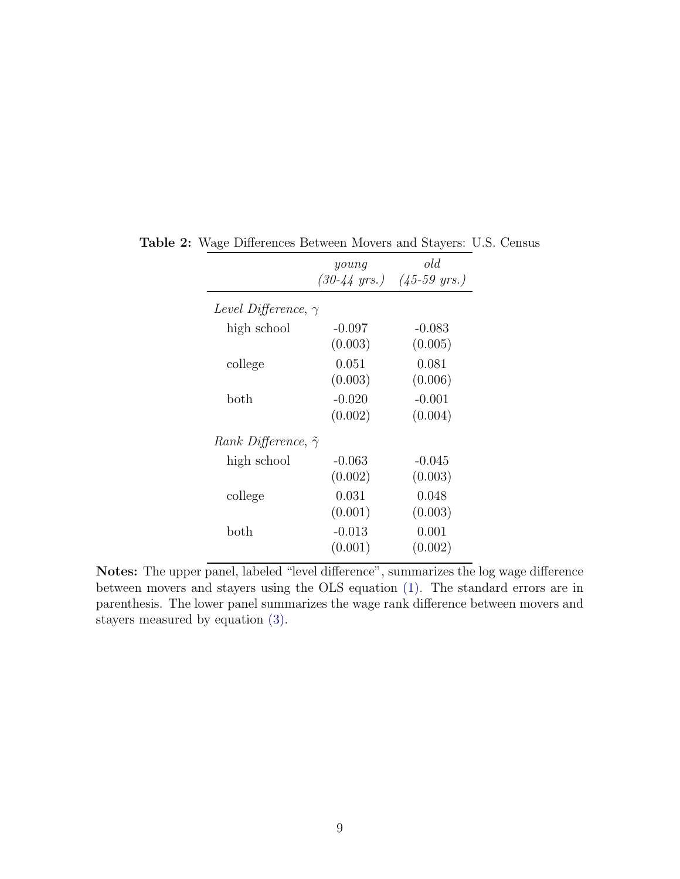|                                   | young               | old<br>$(30-44 \text{ yrs.})$ $(45-59 \text{ yrs.})$ |
|-----------------------------------|---------------------|------------------------------------------------------|
| <i>Level Difference,</i> $\gamma$ |                     |                                                      |
| high school                       | $-0.097$<br>(0.003) | $-0.083$<br>(0.005)                                  |
| college                           | 0.051<br>(0.003)    | 0.081<br>(0.006)                                     |
| both                              | $-0.020$<br>(0.002) | $-0.001$<br>(0.004)                                  |
| Rank Difference, $\tilde{\gamma}$ |                     |                                                      |
| high school                       | $-0.063$<br>(0.002) | -0.045<br>(0.003)                                    |
| college                           | 0.031<br>(0.001)    | 0.048<br>(0.003)                                     |
| $_{\text{both}}$                  | $-0.013$<br>(0.001) | 0.001<br>(0.002)                                     |

<span id="page-11-0"></span>Table 2: Wage Differences Between Movers and Stayers: U.S. Census

Notes: The upper panel, labeled "level difference", summarizes the log wage difference between movers and stayers using the OLS equation [\(1\).](#page-10-0) The standard errors are in parenthesis. The lower panel summarizes the wage rank difference between movers and stayers measured by equation [\(3\).](#page-12-0)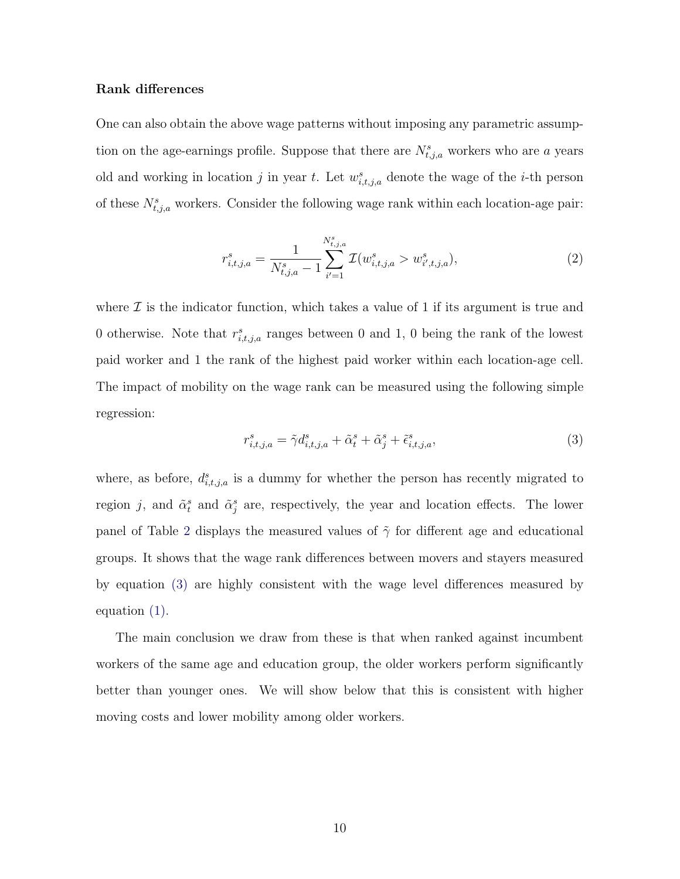#### Rank differences

One can also obtain the above wage patterns without imposing any parametric assumption on the age-earnings profile. Suppose that there are  $N_{t,j,a}^s$  workers who are a years old and working in location j in year t. Let  $w_{i,t,j,a}^s$  denote the wage of the *i*-th person of these  $N_{t,j,a}^s$  workers. Consider the following wage rank within each location-age pair:

$$
r_{i,t,j,a}^s = \frac{1}{N_{t,j,a}^s - 1} \sum_{i'=1}^{N_{t,j,a}^s} \mathcal{I}(w_{i,t,j,a}^s) > w_{i',t,j,a}^s),\tag{2}
$$

where  $\mathcal I$  is the indicator function, which takes a value of 1 if its argument is true and 0 otherwise. Note that  $r_{i,t,j,a}^s$  ranges between 0 and 1, 0 being the rank of the lowest paid worker and 1 the rank of the highest paid worker within each location-age cell. The impact of mobility on the wage rank can be measured using the following simple regression:

<span id="page-12-0"></span>
$$
r_{i,t,j,a}^s = \tilde{\gamma}d_{i,t,j,a}^s + \tilde{\alpha}_t^s + \tilde{\alpha}_j^s + \tilde{\epsilon}_{i,t,j,a}^s,\tag{3}
$$

where, as before,  $d_{i,t,j,a}^s$  is a dummy for whether the person has recently migrated to region j, and  $\tilde{\alpha}_i^s$  and  $\tilde{\alpha}_j^s$  are, respectively, the year and location effects. The lower panel of Table [2](#page-11-0) displays the measured values of  $\tilde{\gamma}$  for different age and educational groups. It shows that the wage rank differences between movers and stayers measured by equation [\(3\)](#page-12-0) are highly consistent with the wage level differences measured by equation [\(1\).](#page-10-0)

The main conclusion we draw from these is that when ranked against incumbent workers of the same age and education group, the older workers perform significantly better than younger ones. We will show below that this is consistent with higher moving costs and lower mobility among older workers.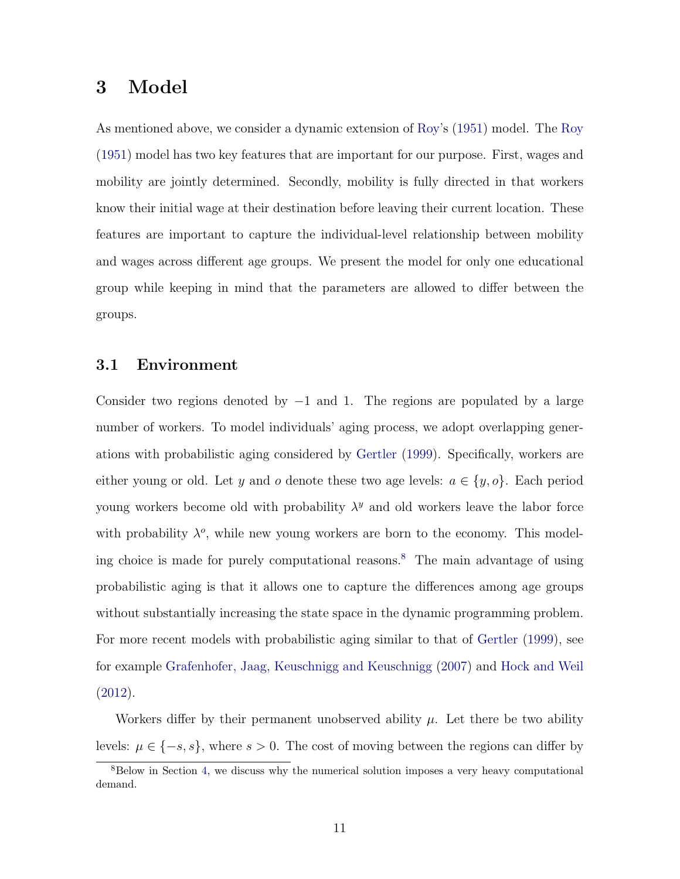### <span id="page-13-0"></span>3 Model

As mentioned above, we consider a dynamic extension of [Roy'](#page-33-6)s [\(1951\)](#page-33-6) model. The [Roy](#page-33-6) [\(1951\)](#page-33-6) model has two key features that are important for our purpose. First, wages and mobility are jointly determined. Secondly, mobility is fully directed in that workers know their initial wage at their destination before leaving their current location. These features are important to capture the individual-level relationship between mobility and wages across different age groups. We present the model for only one educational group while keeping in mind that the parameters are allowed to differ between the groups.

#### 3.1 Environment

Consider two regions denoted by  $-1$  and 1. The regions are populated by a large number of workers. To model individuals' aging process, we adopt overlapping generations with probabilistic aging considered by [Gertler](#page-32-6) [\(1999\)](#page-32-6). Specifically, workers are either young or old. Let y and o denote these two age levels:  $a \in \{y, o\}$ . Each period young workers become old with probability  $\lambda^y$  and old workers leave the labor force with probability  $\lambda^o$ , while new young workers are born to the economy. This modeling choice is made for purely computational reasons.[8](#page-13-1) The main advantage of using probabilistic aging is that it allows one to capture the differences among age groups without substantially increasing the state space in the dynamic programming problem. For more recent models with probabilistic aging similar to that of [Gertler](#page-32-6) [\(1999\)](#page-32-6), see for example [Grafenhofer, Jaag, Keuschnigg and Keuschnigg](#page-32-7) [\(2007\)](#page-32-7) and [Hock and Weil](#page-33-10) [\(2012\)](#page-33-10).

Workers differ by their permanent unobserved ability  $\mu$ . Let there be two ability levels:  $\mu \in \{-s, s\}$ , where  $s > 0$ . The cost of moving between the regions can differ by

<span id="page-13-1"></span><sup>8</sup>Below in Section [4,](#page-20-0) we discuss why the numerical solution imposes a very heavy computational demand.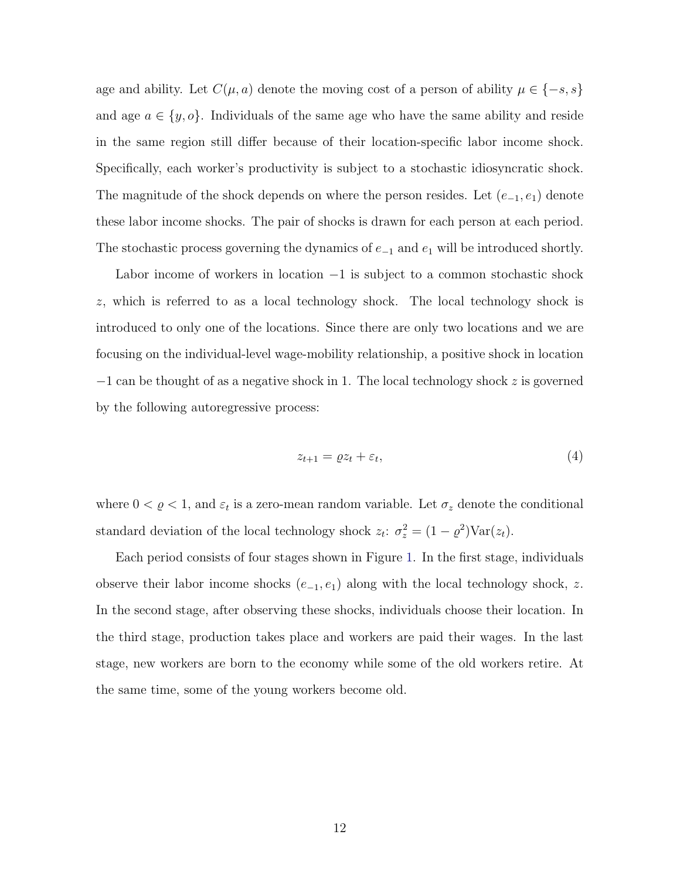age and ability. Let  $C(\mu, a)$  denote the moving cost of a person of ability  $\mu \in \{-s, s\}$ and age  $a \in \{y, o\}$ . Individuals of the same age who have the same ability and reside in the same region still differ because of their location-specific labor income shock. Specifically, each worker's productivity is subject to a stochastic idiosyncratic shock. The magnitude of the shock depends on where the person resides. Let  $(e_{-1}, e_1)$  denote these labor income shocks. The pair of shocks is drawn for each person at each period. The stochastic process governing the dynamics of  $e_{-1}$  and  $e_1$  will be introduced shortly.

Labor income of workers in location −1 is subject to a common stochastic shock z, which is referred to as a local technology shock. The local technology shock is introduced to only one of the locations. Since there are only two locations and we are focusing on the individual-level wage-mobility relationship, a positive shock in location −1 can be thought of as a negative shock in 1. The local technology shock z is governed by the following autoregressive process:

$$
z_{t+1} = \varrho z_t + \varepsilon_t,\tag{4}
$$

where  $0 < \varrho < 1$ , and  $\varepsilon_t$  is a zero-mean random variable. Let  $\sigma_z$  denote the conditional standard deviation of the local technology shock  $z_t$ :  $\sigma_z^2 = (1 - \varrho^2) \text{Var}(z_t)$ .

Each period consists of four stages shown in Figure [1.](#page-15-0) In the first stage, individuals observe their labor income shocks  $(e_{-1}, e_1)$  along with the local technology shock, z. In the second stage, after observing these shocks, individuals choose their location. In the third stage, production takes place and workers are paid their wages. In the last stage, new workers are born to the economy while some of the old workers retire. At the same time, some of the young workers become old.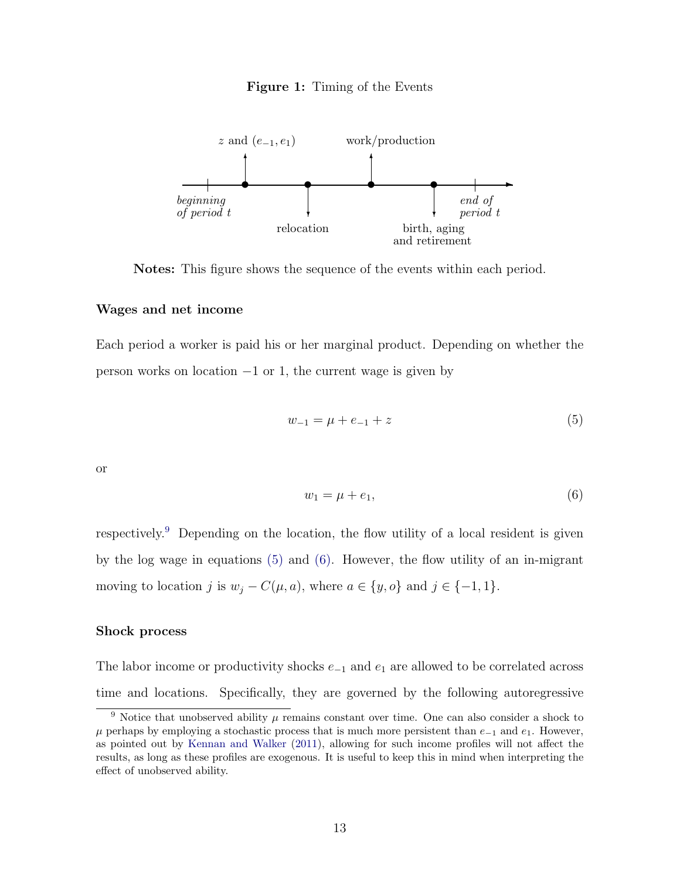

<span id="page-15-0"></span>

Notes: This figure shows the sequence of the events within each period.

#### Wages and net income

Each period a worker is paid his or her marginal product. Depending on whether the person works on location −1 or 1, the current wage is given by

<span id="page-15-2"></span>
$$
w_{-1} = \mu + e_{-1} + z \tag{5}
$$

or

<span id="page-15-3"></span>
$$
w_1 = \mu + e_1,\tag{6}
$$

respectively.[9](#page-15-1) Depending on the location, the flow utility of a local resident is given by the log wage in equations [\(5\)](#page-15-2) and [\(6\).](#page-15-3) However, the flow utility of an in-migrant moving to location j is  $w_j - C(\mu, a)$ , where  $a \in \{y, o\}$  and  $j \in \{-1, 1\}$ .

#### Shock process

The labor income or productivity shocks  $e_{-1}$  and  $e_1$  are allowed to be correlated across time and locations. Specifically, they are governed by the following autoregressive

<span id="page-15-1"></span><sup>&</sup>lt;sup>9</sup> Notice that unobserved ability  $\mu$  remains constant over time. One can also consider a shock to  $\mu$  perhaps by employing a stochastic process that is much more persistent than  $e_{-1}$  and  $e_1$ . However, as pointed out by [Kennan and Walker](#page-33-2) [\(2011\)](#page-33-2), allowing for such income profiles will not affect the results, as long as these profiles are exogenous. It is useful to keep this in mind when interpreting the effect of unobserved ability.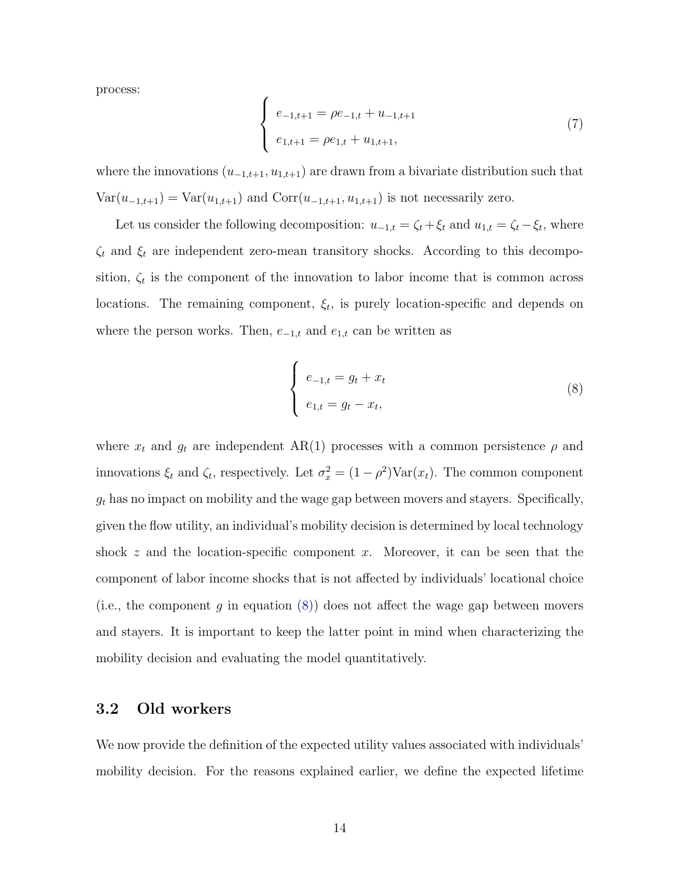process:

$$
\begin{cases}\ne_{-1,t+1} = \rho e_{-1,t} + u_{-1,t+1} \\
e_{1,t+1} = \rho e_{1,t} + u_{1,t+1},\n\end{cases} \tag{7}
$$

where the innovations  $(u_{-1,t+1}, u_{1,t+1})$  are drawn from a bivariate distribution such that  $Var(u_{-1,t+1}) = Var(u_{1,t+1})$  and  $Corr(u_{-1,t+1}, u_{1,t+1})$  is not necessarily zero.

Let us consider the following decomposition:  $u_{-1,t} = \zeta_t + \xi_t$  and  $u_{1,t} = \zeta_t - \xi_t$ , where  $\zeta_t$  and  $\xi_t$  are independent zero-mean transitory shocks. According to this decomposition,  $\zeta_t$  is the component of the innovation to labor income that is common across locations. The remaining component,  $\xi_t$ , is purely location-specific and depends on where the person works. Then,  $e_{-1,t}$  and  $e_{1,t}$  can be written as

<span id="page-16-0"></span>
$$
\begin{cases}\ne_{-1,t} = g_t + x_t \\
e_{1,t} = g_t - x_t,\n\end{cases} \tag{8}
$$

where  $x_t$  and  $g_t$  are independent AR(1) processes with a common persistence  $\rho$  and innovations  $\xi_t$  and  $\zeta_t$ , respectively. Let  $\sigma_x^2 = (1 - \rho^2) \text{Var}(x_t)$ . The common component  $g_t$  has no impact on mobility and the wage gap between movers and stayers. Specifically, given the flow utility, an individual's mobility decision is determined by local technology shock  $z$  and the location-specific component x. Moreover, it can be seen that the component of labor income shocks that is not affected by individuals' locational choice (i.e., the component g in equation  $(8)$ ) does not affect the wage gap between movers and stayers. It is important to keep the latter point in mind when characterizing the mobility decision and evaluating the model quantitatively.

#### 3.2 Old workers

We now provide the definition of the expected utility values associated with individuals' mobility decision. For the reasons explained earlier, we define the expected lifetime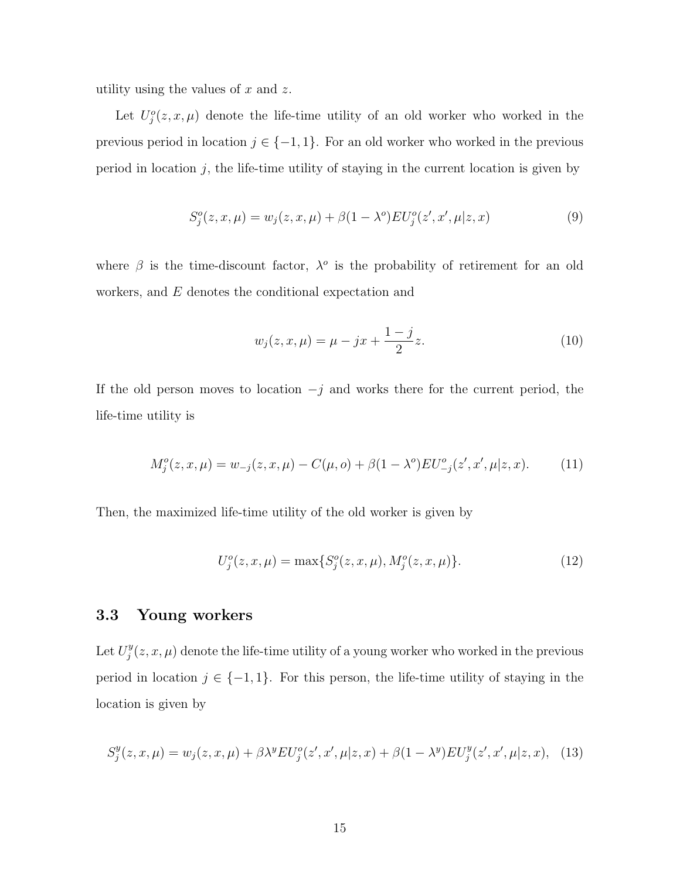utility using the values of  $x$  and  $z$ .

Let  $U_j^o(z, x, \mu)$  denote the life-time utility of an old worker who worked in the previous period in location  $j \in \{-1, 1\}$ . For an old worker who worked in the previous period in location  $j$ , the life-time utility of staying in the current location is given by

$$
S_j^o(z, x, \mu) = w_j(z, x, \mu) + \beta (1 - \lambda^o) E U_j^o(z', x', \mu | z, x)
$$
\n(9)

where  $\beta$  is the time-discount factor,  $\lambda^{\circ}$  is the probability of retirement for an old workers, and E denotes the conditional expectation and

$$
w_j(z, x, \mu) = \mu - jx + \frac{1 - j}{2}z.
$$
 (10)

If the old person moves to location  $-j$  and works there for the current period, the life-time utility is

$$
M_j^o(z, x, \mu) = w_{-j}(z, x, \mu) - C(\mu, o) + \beta (1 - \lambda^o) E U_{-j}^o(z', x', \mu | z, x).
$$
 (11)

Then, the maximized life-time utility of the old worker is given by

$$
U_j^o(z, x, \mu) = \max\{S_j^o(z, x, \mu), M_j^o(z, x, \mu)\}.
$$
 (12)

#### 3.3 Young workers

Let  $U_i^y$  $j^y_j(z, x, \mu)$  denote the life-time utility of a young worker who worked in the previous period in location  $j \in \{-1, 1\}$ . For this person, the life-time utility of staying in the location is given by

$$
S_j^y(z, x, \mu) = w_j(z, x, \mu) + \beta \lambda^y E U_j^o(z', x', \mu | z, x) + \beta (1 - \lambda^y) E U_j^y(z', x', \mu | z, x), \tag{13}
$$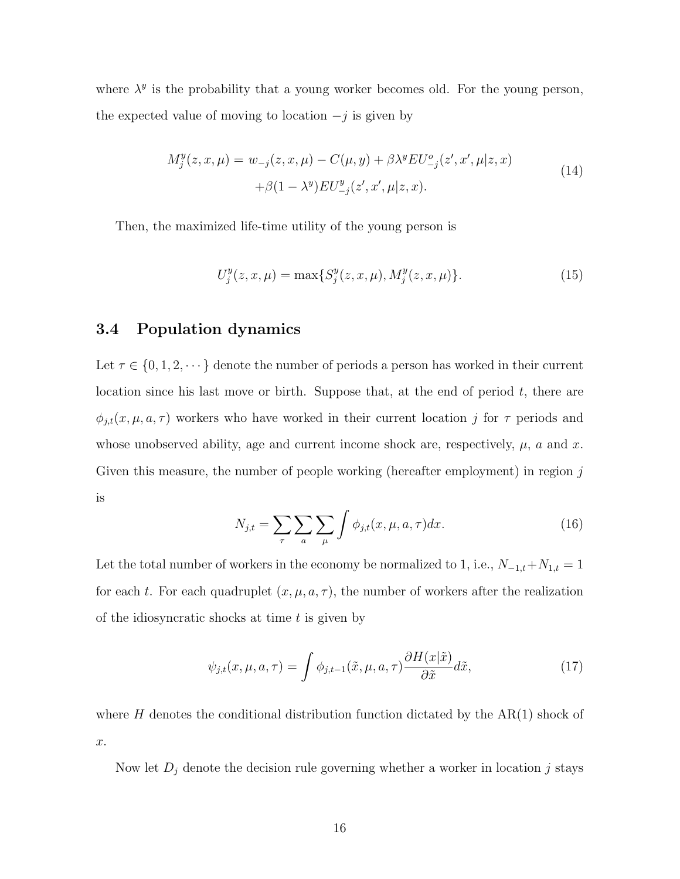where  $\lambda^y$  is the probability that a young worker becomes old. For the young person, the expected value of moving to location  $-j$  is given by

$$
M_j^y(z, x, \mu) = w_{-j}(z, x, \mu) - C(\mu, y) + \beta \lambda^y E U_{-j}^o(z', x', \mu | z, x) + \beta (1 - \lambda^y) E U_{-j}^y(z', x', \mu | z, x).
$$
 (14)

Then, the maximized life-time utility of the young person is

$$
U_j^y(z, x, \mu) = \max\{S_j^y(z, x, \mu), M_j^y(z, x, \mu)\}.
$$
 (15)

#### 3.4 Population dynamics

Let  $\tau \in \{0, 1, 2, \dots\}$  denote the number of periods a person has worked in their current location since his last move or birth. Suppose that, at the end of period  $t$ , there are  $\phi_{j,t}(x,\mu,a,\tau)$  workers who have worked in their current location j for  $\tau$  periods and whose unobserved ability, age and current income shock are, respectively,  $\mu$ ,  $a$  and  $x$ . Given this measure, the number of people working (hereafter employment) in region j is

$$
N_{j,t} = \sum_{\tau} \sum_{a} \sum_{\mu} \int \phi_{j,t}(x,\mu,a,\tau) dx.
$$
 (16)

Let the total number of workers in the economy be normalized to 1, i.e.,  $N_{-1,t}+N_{1,t} = 1$ for each t. For each quadruplet  $(x, \mu, a, \tau)$ , the number of workers after the realization of the idiosyncratic shocks at time  $t$  is given by

$$
\psi_{j,t}(x,\mu,a,\tau) = \int \phi_{j,t-1}(\tilde{x},\mu,a,\tau) \frac{\partial H(x|\tilde{x})}{\partial \tilde{x}} d\tilde{x},\tag{17}
$$

where  $H$  denotes the conditional distribution function dictated by the AR(1) shock of  $\boldsymbol{x}.$ 

Now let  $D_j$  denote the decision rule governing whether a worker in location j stays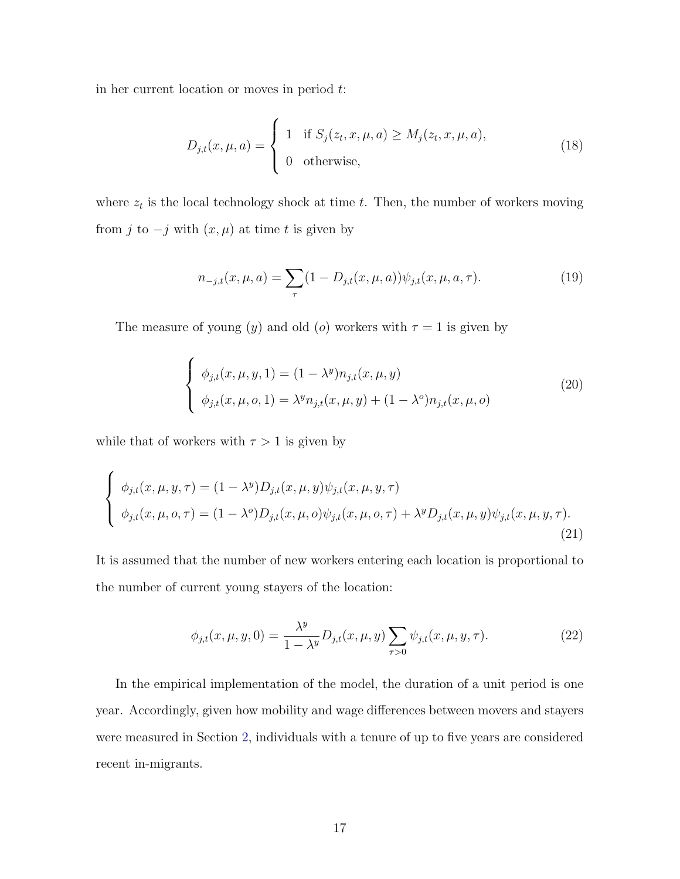in her current location or moves in period t:

$$
D_{j,t}(x,\mu,a) = \begin{cases} 1 & \text{if } S_j(z_t,x,\mu,a) \ge M_j(z_t,x,\mu,a), \\ 0 & \text{otherwise,} \end{cases}
$$
(18)

where  $z_t$  is the local technology shock at time t. Then, the number of workers moving from j to  $-j$  with  $(x, \mu)$  at time t is given by

$$
n_{-j,t}(x,\mu,a) = \sum_{\tau} (1 - D_{j,t}(x,\mu,a)) \psi_{j,t}(x,\mu,a,\tau). \tag{19}
$$

The measure of young (y) and old (o) workers with  $\tau = 1$  is given by

$$
\begin{cases}\n\phi_{j,t}(x,\mu,y,1) = (1 - \lambda^y) n_{j,t}(x,\mu,y) \\
\phi_{j,t}(x,\mu,o,1) = \lambda^y n_{j,t}(x,\mu,y) + (1 - \lambda^o) n_{j,t}(x,\mu,o)\n\end{cases}
$$
\n(20)

while that of workers with  $\tau > 1$  is given by

$$
\begin{cases}\n\phi_{j,t}(x,\mu,y,\tau) = (1 - \lambda^y)D_{j,t}(x,\mu,y)\psi_{j,t}(x,\mu,y,\tau) \\
\phi_{j,t}(x,\mu,o,\tau) = (1 - \lambda^o)D_{j,t}(x,\mu,o)\psi_{j,t}(x,\mu,o,\tau) + \lambda^y D_{j,t}(x,\mu,y)\psi_{j,t}(x,\mu,y,\tau).\n\end{cases}
$$
\n(21)

It is assumed that the number of new workers entering each location is proportional to the number of current young stayers of the location:

$$
\phi_{j,t}(x,\mu,y,0) = \frac{\lambda^y}{1-\lambda^y} D_{j,t}(x,\mu,y) \sum_{\tau>0} \psi_{j,t}(x,\mu,y,\tau). \tag{22}
$$

In the empirical implementation of the model, the duration of a unit period is one year. Accordingly, given how mobility and wage differences between movers and stayers were measured in Section [2,](#page-6-1) individuals with a tenure of up to five years are considered recent in-migrants.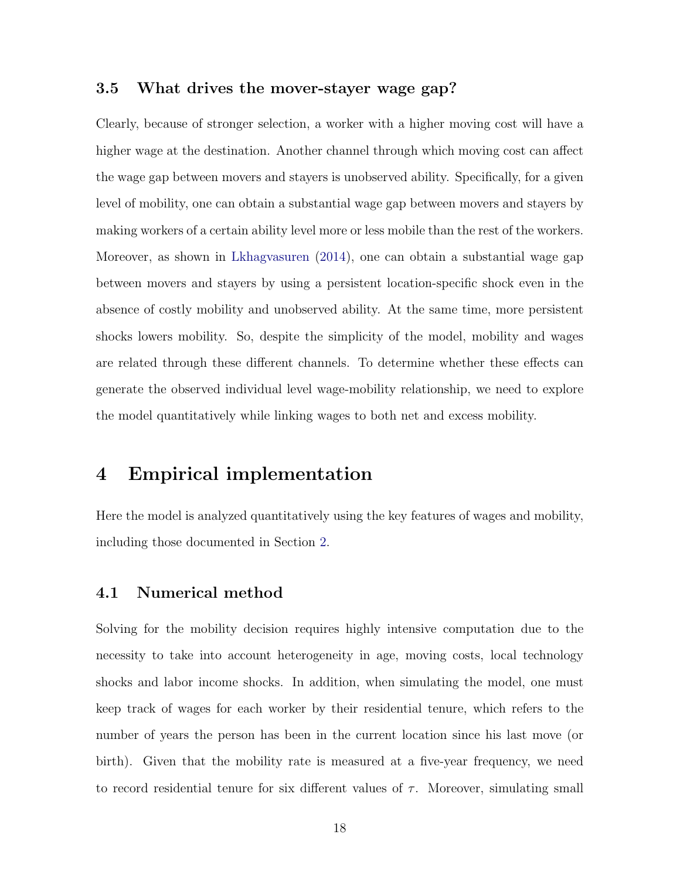#### 3.5 What drives the mover-stayer wage gap?

Clearly, because of stronger selection, a worker with a higher moving cost will have a higher wage at the destination. Another channel through which moving cost can affect the wage gap between movers and stayers is unobserved ability. Specifically, for a given level of mobility, one can obtain a substantial wage gap between movers and stayers by making workers of a certain ability level more or less mobile than the rest of the workers. Moreover, as shown in [Lkhagvasuren](#page-33-5) [\(2014\)](#page-33-5), one can obtain a substantial wage gap between movers and stayers by using a persistent location-specific shock even in the absence of costly mobility and unobserved ability. At the same time, more persistent shocks lowers mobility. So, despite the simplicity of the model, mobility and wages are related through these different channels. To determine whether these effects can generate the observed individual level wage-mobility relationship, we need to explore the model quantitatively while linking wages to both net and excess mobility.

### <span id="page-20-0"></span>4 Empirical implementation

Here the model is analyzed quantitatively using the key features of wages and mobility, including those documented in Section [2.](#page-6-1)

#### 4.1 Numerical method

Solving for the mobility decision requires highly intensive computation due to the necessity to take into account heterogeneity in age, moving costs, local technology shocks and labor income shocks. In addition, when simulating the model, one must keep track of wages for each worker by their residential tenure, which refers to the number of years the person has been in the current location since his last move (or birth). Given that the mobility rate is measured at a five-year frequency, we need to record residential tenure for six different values of  $\tau$ . Moreover, simulating small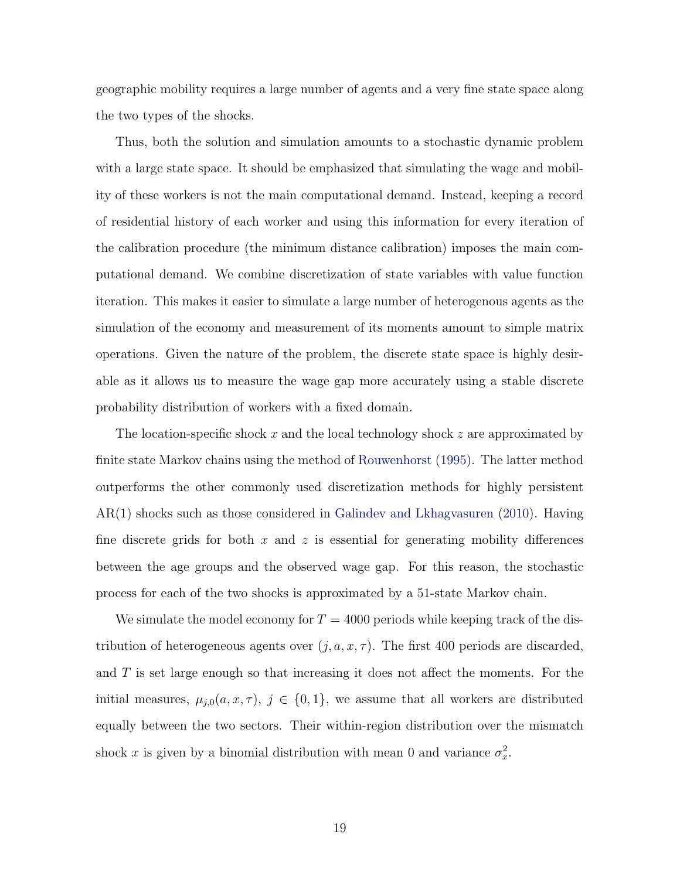geographic mobility requires a large number of agents and a very fine state space along the two types of the shocks.

Thus, both the solution and simulation amounts to a stochastic dynamic problem with a large state space. It should be emphasized that simulating the wage and mobility of these workers is not the main computational demand. Instead, keeping a record of residential history of each worker and using this information for every iteration of the calibration procedure (the minimum distance calibration) imposes the main computational demand. We combine discretization of state variables with value function iteration. This makes it easier to simulate a large number of heterogenous agents as the simulation of the economy and measurement of its moments amount to simple matrix operations. Given the nature of the problem, the discrete state space is highly desirable as it allows us to measure the wage gap more accurately using a stable discrete probability distribution of workers with a fixed domain.

The location-specific shock x and the local technology shock  $z$  are approximated by finite state Markov chains using the method of [Rouwenhorst](#page-33-11) [\(1995\)](#page-33-11). The latter method outperforms the other commonly used discretization methods for highly persistent AR(1) shocks such as those considered in [Galindev and Lkhagvasuren](#page-32-8) [\(2010\)](#page-32-8). Having fine discrete grids for both  $x$  and  $z$  is essential for generating mobility differences between the age groups and the observed wage gap. For this reason, the stochastic process for each of the two shocks is approximated by a 51-state Markov chain.

We simulate the model economy for  $T = 4000$  periods while keeping track of the distribution of heterogeneous agents over  $(j, a, x, \tau)$ . The first 400 periods are discarded, and T is set large enough so that increasing it does not affect the moments. For the initial measures,  $\mu_{j,0}(a, x, \tau)$ ,  $j \in \{0,1\}$ , we assume that all workers are distributed equally between the two sectors. Their within-region distribution over the mismatch shock x is given by a binomial distribution with mean 0 and variance  $\sigma_x^2$ .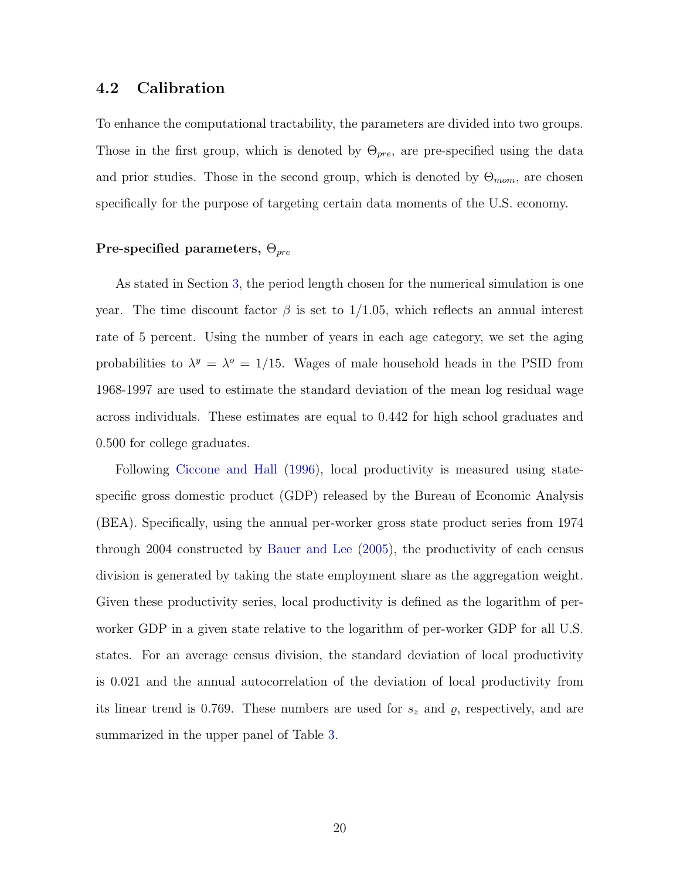#### 4.2 Calibration

To enhance the computational tractability, the parameters are divided into two groups. Those in the first group, which is denoted by  $\Theta_{pre}$ , are pre-specified using the data and prior studies. Those in the second group, which is denoted by  $\Theta_{mom}$ , are chosen specifically for the purpose of targeting certain data moments of the U.S. economy.

#### Pre-specified parameters,  $\Theta_{pre}$

As stated in Section [3,](#page-13-0) the period length chosen for the numerical simulation is one year. The time discount factor  $\beta$  is set to 1/1.05, which reflects an annual interest rate of 5 percent. Using the number of years in each age category, we set the aging probabilities to  $\lambda^y = \lambda^0 = 1/15$ . Wages of male household heads in the PSID from 1968-1997 are used to estimate the standard deviation of the mean log residual wage across individuals. These estimates are equal to 0.442 for high school graduates and 0.500 for college graduates.

Following [Ciccone and Hall](#page-32-9) [\(1996\)](#page-32-9), local productivity is measured using statespecific gross domestic product (GDP) released by the Bureau of Economic Analysis (BEA). Specifically, using the annual per-worker gross state product series from 1974 through 2004 constructed by [Bauer and Lee](#page-31-4) [\(2005\)](#page-31-4), the productivity of each census division is generated by taking the state employment share as the aggregation weight. Given these productivity series, local productivity is defined as the logarithm of perworker GDP in a given state relative to the logarithm of per-worker GDP for all U.S. states. For an average census division, the standard deviation of local productivity is 0.021 and the annual autocorrelation of the deviation of local productivity from its linear trend is 0.769. These numbers are used for  $s_z$  and  $\varrho$ , respectively, and are summarized in the upper panel of Table [3.](#page-24-0)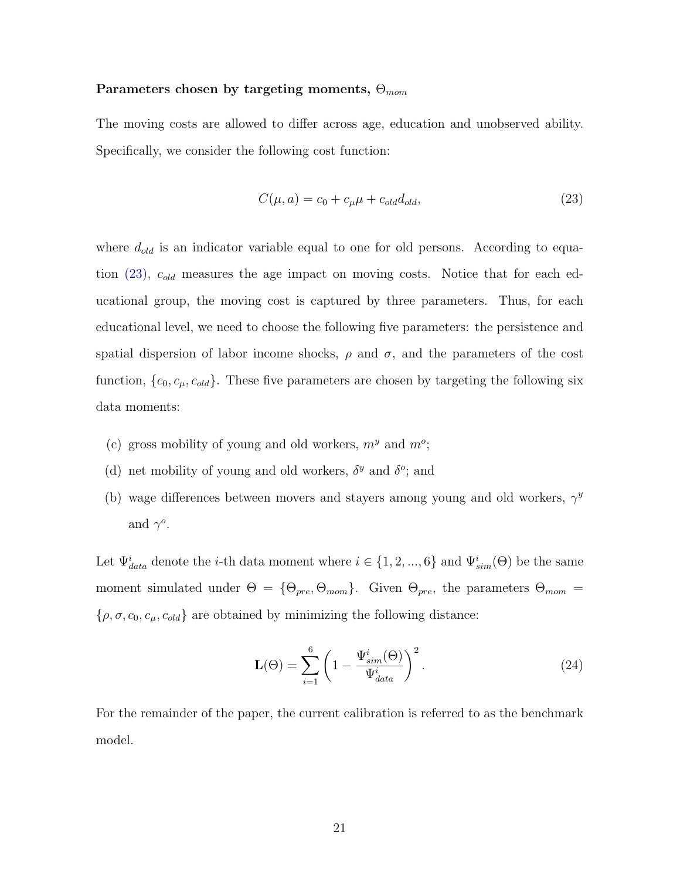#### Parameters chosen by targeting moments,  $\Theta_{mom}$

The moving costs are allowed to differ across age, education and unobserved ability. Specifically, we consider the following cost function:

<span id="page-23-0"></span>
$$
C(\mu, a) = c_0 + c_{\mu}\mu + c_{old}d_{old},
$$
\n(23)

where  $d_{old}$  is an indicator variable equal to one for old persons. According to equation  $(23)$ ,  $c_{old}$  measures the age impact on moving costs. Notice that for each educational group, the moving cost is captured by three parameters. Thus, for each educational level, we need to choose the following five parameters: the persistence and spatial dispersion of labor income shocks,  $\rho$  and  $\sigma$ , and the parameters of the cost function,  $\{c_0, c_{\mu}, c_{old}\}$ . These five parameters are chosen by targeting the following six data moments:

- (c) gross mobility of young and old workers,  $m^y$  and  $m^o$ ;
- (d) net mobility of young and old workers,  $\delta^y$  and  $\delta^o$ ; and
- (b) wage differences between movers and stayers among young and old workers,  $\gamma^y$ and  $\gamma^o$ .

Let  $\Psi_{data}^{i}$  denote the *i*-th data moment where  $i \in \{1, 2, ..., 6\}$  and  $\Psi_{sim}^{i}(\Theta)$  be the same moment simulated under  $\Theta = {\Theta_{pre}, \Theta_{mom}}$ . Given  $\Theta_{pre}$ , the parameters  $\Theta_{mom}$  $\{\rho, \sigma, c_0, c_{\mu}, c_{old}\}$  are obtained by minimizing the following distance:

$$
\mathbf{L}(\Theta) = \sum_{i=1}^{6} \left( 1 - \frac{\Psi_{sim}^{i}(\Theta)}{\Psi_{data}^{i}} \right)^{2}.
$$
 (24)

For the remainder of the paper, the current calibration is referred to as the benchmark model.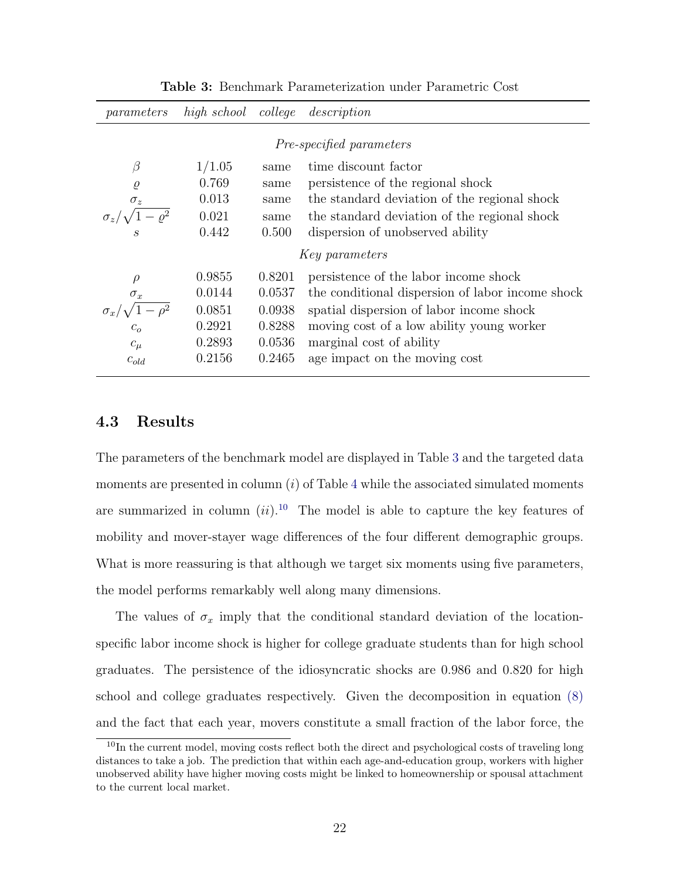<span id="page-24-0"></span>

| parameters                      | high school college |        | description                                      |
|---------------------------------|---------------------|--------|--------------------------------------------------|
| <i>Pre-specified parameters</i> |                     |        |                                                  |
| β                               | 1/1.05              | same   | time discount factor                             |
| $\varrho$                       | 0.769               | same   | persistence of the regional shock                |
| $\sigma_z$                      | 0.013               | same   | the standard deviation of the regional shock     |
| $\sigma_z/\sqrt{1-\rho^2}$      | 0.021               | same   | the standard deviation of the regional shock     |
| S                               | 0.442               | 0.500  | dispersion of unobserved ability                 |
| Key parameters                  |                     |        |                                                  |
| $\rho$                          | 0.9855              | 0.8201 | persistence of the labor income shock            |
| $\sigma_x$                      | 0.0144              | 0.0537 | the conditional dispersion of labor income shock |
| $\sigma_x/\sqrt{2}$             | 0.0851              | 0.0938 | spatial dispersion of labor income shock         |
| $c_{\rm o}$                     | 0.2921              | 0.8288 | moving cost of a low ability young worker        |
| $c_\mu$                         | 0.2893              | 0.0536 | marginal cost of ability                         |
| $c_{old}$                       | 0.2156              | 0.2465 | age impact on the moving cost                    |

Table 3: Benchmark Parameterization under Parametric Cost

#### 4.3 Results

The parameters of the benchmark model are displayed in Table [3](#page-24-0) and the targeted data moments are presented in column  $(i)$  of Table [4](#page-25-0) while the associated simulated moments are summarized in column  $(ii).^{10}$  $(ii).^{10}$  $(ii).^{10}$  The model is able to capture the key features of mobility and mover-stayer wage differences of the four different demographic groups. What is more reassuring is that although we target six moments using five parameters, the model performs remarkably well along many dimensions.

The values of  $\sigma_x$  imply that the conditional standard deviation of the locationspecific labor income shock is higher for college graduate students than for high school graduates. The persistence of the idiosyncratic shocks are 0.986 and 0.820 for high school and college graduates respectively. Given the decomposition in equation [\(8\)](#page-16-0) and the fact that each year, movers constitute a small fraction of the labor force, the

<span id="page-24-1"></span><sup>&</sup>lt;sup>10</sup>In the current model, moving costs reflect both the direct and psychological costs of traveling long distances to take a job. The prediction that within each age-and-education group, workers with higher unobserved ability have higher moving costs might be linked to homeownership or spousal attachment to the current local market.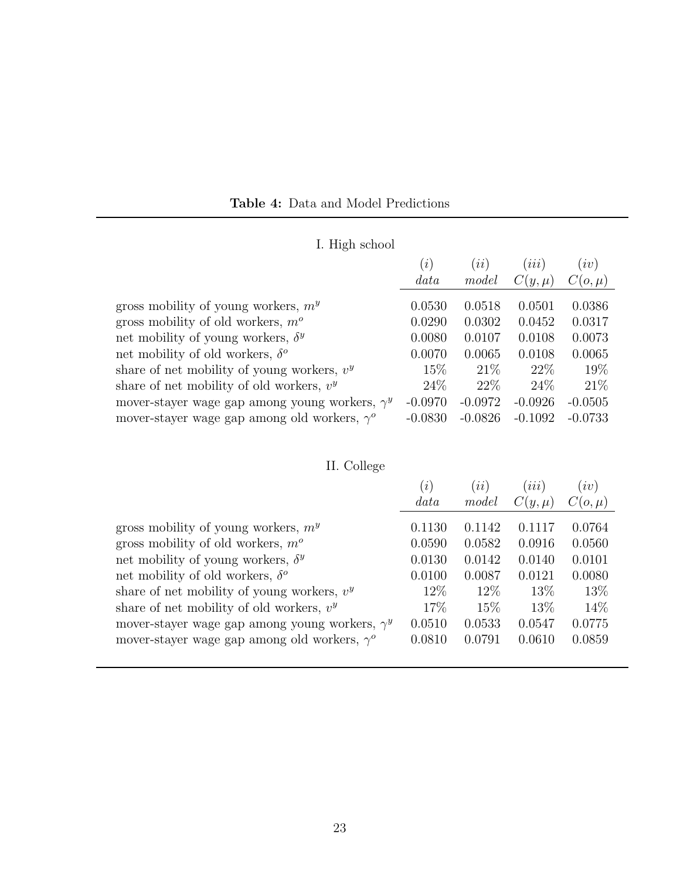# I. High school

<span id="page-25-0"></span>

|                                                       | $\hat{i}$ | (ii)      | $\lceil \iota \iota \iota \rceil$ | (iv)       |
|-------------------------------------------------------|-----------|-----------|-----------------------------------|------------|
|                                                       | data      | model     | $C(y,\mu)$                        | $C(o,\mu)$ |
| gross mobility of young workers, $my$                 | 0.0530    | 0.0518    | 0.0501                            | 0.0386     |
| gross mobility of old workers, $m^o$                  | 0.0290    | 0.0302    | 0.0452                            | 0.0317     |
| net mobility of young workers, $\delta^y$             | 0.0080    | 0.0107    | 0.0108                            | 0.0073     |
| net mobility of old workers, $\delta^o$               | 0.0070    | 0.0065    | 0.0108                            | 0.0065     |
| share of net mobility of young workers, $v^y$         | 15%       | 21%       | 22\%                              | 19%        |
| share of net mobility of old workers, $v^y$           | 24%       | 22\%      | 24%                               | 21\%       |
| mover-stayer wage gap among young workers, $\gamma^y$ | $-0.0970$ | $-0.0972$ | $-0.0926$                         | $-0.0505$  |
| mover-stayer wage gap among old workers, $\gamma^o$   | $-0.0830$ | $-0.0826$ | $-0.1092$                         | $-0.0733$  |

# II. College

|                                                       | (i)    | (i)    | (iii)      | (iv)       |
|-------------------------------------------------------|--------|--------|------------|------------|
|                                                       | data   | model  | $C(y,\mu)$ | $C(o,\mu)$ |
| gross mobility of young workers, $my$                 | 0.1130 | 0.1142 | 0.1117     | 0.0764     |
| gross mobility of old workers, $m^o$                  | 0.0590 | 0.0582 | 0.0916     | 0.0560     |
| net mobility of young workers, $\delta^y$             | 0.0130 | 0.0142 | 0.0140     | 0.0101     |
| net mobility of old workers, $\delta^o$               | 0.0100 | 0.0087 | 0.0121     | 0.0080     |
| share of net mobility of young workers, $v^y$         | 12\%   | 12\%   | 13%        | 13%        |
| share of net mobility of old workers, $v^y$           | 17%    | 15\%   | 13\%       | 14\%       |
| mover-stayer wage gap among young workers, $\gamma^y$ | 0.0510 | 0.0533 | 0.0547     | 0.0775     |
| mover-stayer wage gap among old workers, $\gamma^o$   | 0.0810 | 0.0791 | 0.0610     | 0.0859     |
|                                                       |        |        |            |            |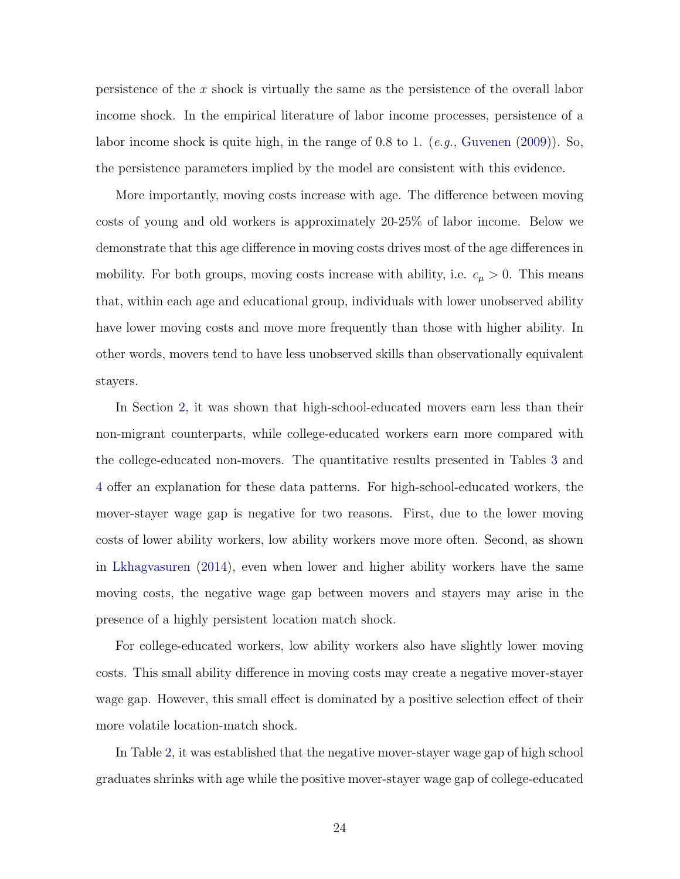persistence of the x shock is virtually the same as the persistence of the overall labor income shock. In the empirical literature of labor income processes, persistence of a labor income shock is quite high, in the range of 0.8 to 1.  $(e.q., \text{Guvenen } (2009)).$  $(e.q., \text{Guvenen } (2009)).$  $(e.q., \text{Guvenen } (2009)).$  $(e.q., \text{Guvenen } (2009)).$  $(e.q., \text{Guvenen } (2009)).$  So, the persistence parameters implied by the model are consistent with this evidence.

More importantly, moving costs increase with age. The difference between moving costs of young and old workers is approximately 20-25% of labor income. Below we demonstrate that this age difference in moving costs drives most of the age differences in mobility. For both groups, moving costs increase with ability, i.e.  $c_{\mu} > 0$ . This means that, within each age and educational group, individuals with lower unobserved ability have lower moving costs and move more frequently than those with higher ability. In other words, movers tend to have less unobserved skills than observationally equivalent stayers.

In Section [2,](#page-6-1) it was shown that high-school-educated movers earn less than their non-migrant counterparts, while college-educated workers earn more compared with the college-educated non-movers. The quantitative results presented in Tables [3](#page-24-0) and [4](#page-25-0) offer an explanation for these data patterns. For high-school-educated workers, the mover-stayer wage gap is negative for two reasons. First, due to the lower moving costs of lower ability workers, low ability workers move more often. Second, as shown in [Lkhagvasuren](#page-33-5) [\(2014\)](#page-33-5), even when lower and higher ability workers have the same moving costs, the negative wage gap between movers and stayers may arise in the presence of a highly persistent location match shock.

For college-educated workers, low ability workers also have slightly lower moving costs. This small ability difference in moving costs may create a negative mover-stayer wage gap. However, this small effect is dominated by a positive selection effect of their more volatile location-match shock.

In Table [2,](#page-11-0) it was established that the negative mover-stayer wage gap of high school graduates shrinks with age while the positive mover-stayer wage gap of college-educated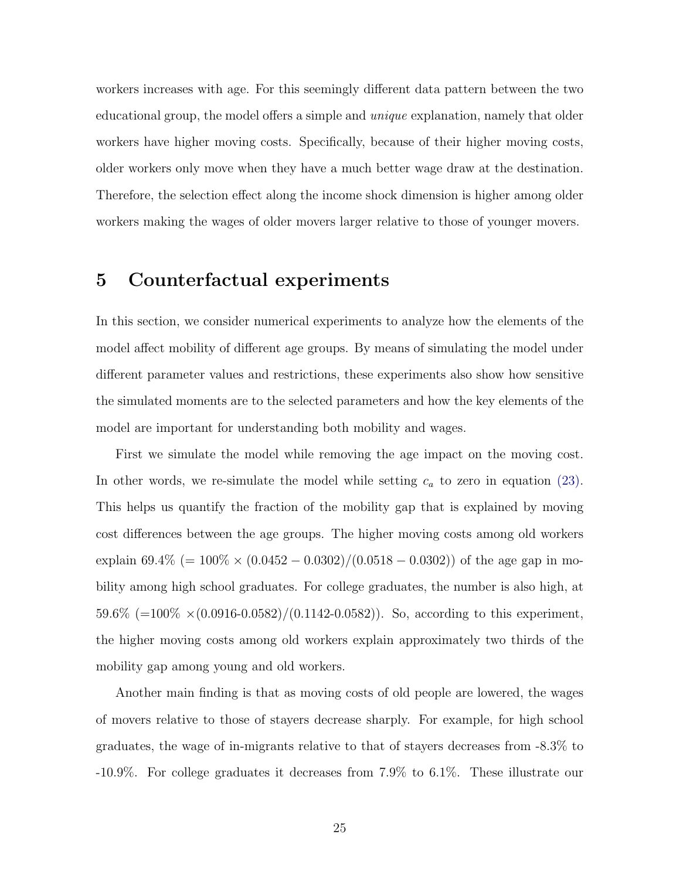workers increases with age. For this seemingly different data pattern between the two educational group, the model offers a simple and unique explanation, namely that older workers have higher moving costs. Specifically, because of their higher moving costs, older workers only move when they have a much better wage draw at the destination. Therefore, the selection effect along the income shock dimension is higher among older workers making the wages of older movers larger relative to those of younger movers.

### <span id="page-27-0"></span>5 Counterfactual experiments

In this section, we consider numerical experiments to analyze how the elements of the model affect mobility of different age groups. By means of simulating the model under different parameter values and restrictions, these experiments also show how sensitive the simulated moments are to the selected parameters and how the key elements of the model are important for understanding both mobility and wages.

First we simulate the model while removing the age impact on the moving cost. In other words, we re-simulate the model while setting  $c_a$  to zero in equation [\(23\).](#page-23-0) This helps us quantify the fraction of the mobility gap that is explained by moving cost differences between the age groups. The higher moving costs among old workers explain 69.4% (=  $100\% \times (0.0452 - 0.0302)/(0.0518 - 0.0302)$ ) of the age gap in mobility among high school graduates. For college graduates, the number is also high, at 59.6%  $(=100\% \times (0.0916-0.0582)/(0.1142-0.0582))$ . So, according to this experiment, the higher moving costs among old workers explain approximately two thirds of the mobility gap among young and old workers.

Another main finding is that as moving costs of old people are lowered, the wages of movers relative to those of stayers decrease sharply. For example, for high school graduates, the wage of in-migrants relative to that of stayers decreases from -8.3% to -10.9%. For college graduates it decreases from 7.9% to 6.1%. These illustrate our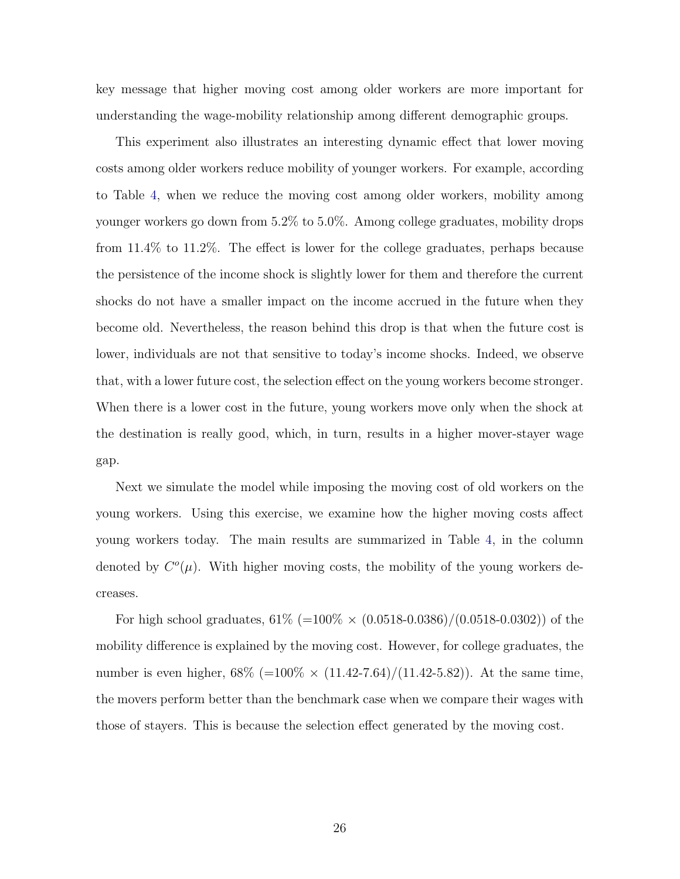key message that higher moving cost among older workers are more important for understanding the wage-mobility relationship among different demographic groups.

This experiment also illustrates an interesting dynamic effect that lower moving costs among older workers reduce mobility of younger workers. For example, according to Table [4,](#page-25-0) when we reduce the moving cost among older workers, mobility among younger workers go down from 5.2% to 5.0%. Among college graduates, mobility drops from 11.4% to 11.2%. The effect is lower for the college graduates, perhaps because the persistence of the income shock is slightly lower for them and therefore the current shocks do not have a smaller impact on the income accrued in the future when they become old. Nevertheless, the reason behind this drop is that when the future cost is lower, individuals are not that sensitive to today's income shocks. Indeed, we observe that, with a lower future cost, the selection effect on the young workers become stronger. When there is a lower cost in the future, young workers move only when the shock at the destination is really good, which, in turn, results in a higher mover-stayer wage gap.

Next we simulate the model while imposing the moving cost of old workers on the young workers. Using this exercise, we examine how the higher moving costs affect young workers today. The main results are summarized in Table [4,](#page-25-0) in the column denoted by  $C<sup>o</sup>(\mu)$ . With higher moving costs, the mobility of the young workers decreases.

For high school graduates,  $61\%$  (=100\% \times (0.0518-0.0386)/(0.0518-0.0302)) of the mobility difference is explained by the moving cost. However, for college graduates, the number is even higher,  $68\%$  (=100\% \times (11.42-7.64)/(11.42-5.82)). At the same time, the movers perform better than the benchmark case when we compare their wages with those of stayers. This is because the selection effect generated by the moving cost.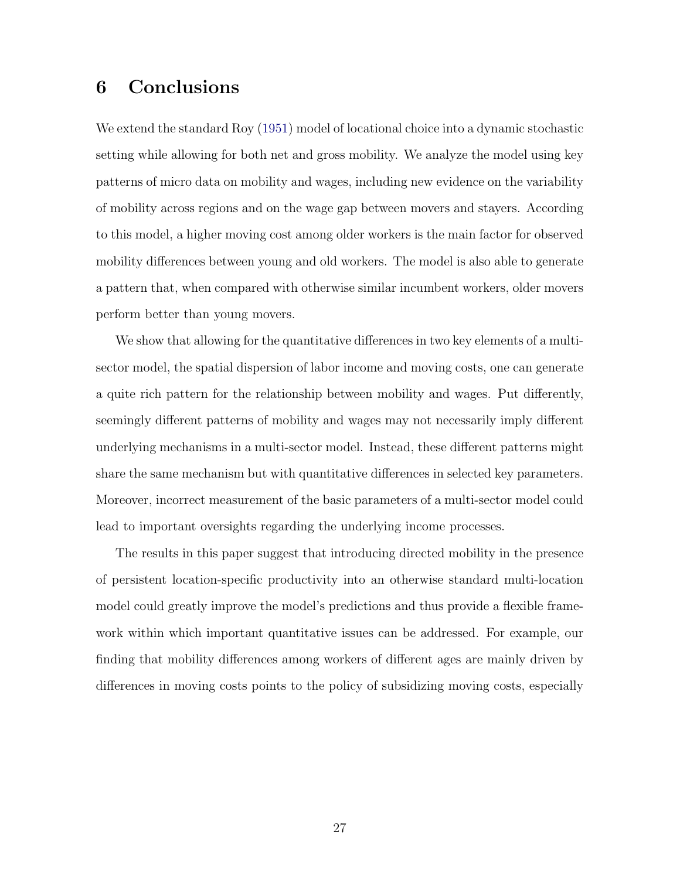# <span id="page-29-0"></span>6 Conclusions

We extend the standard Roy [\(1951\)](#page-33-6) model of locational choice into a dynamic stochastic setting while allowing for both net and gross mobility. We analyze the model using key patterns of micro data on mobility and wages, including new evidence on the variability of mobility across regions and on the wage gap between movers and stayers. According to this model, a higher moving cost among older workers is the main factor for observed mobility differences between young and old workers. The model is also able to generate a pattern that, when compared with otherwise similar incumbent workers, older movers perform better than young movers.

We show that allowing for the quantitative differences in two key elements of a multisector model, the spatial dispersion of labor income and moving costs, one can generate a quite rich pattern for the relationship between mobility and wages. Put differently, seemingly different patterns of mobility and wages may not necessarily imply different underlying mechanisms in a multi-sector model. Instead, these different patterns might share the same mechanism but with quantitative differences in selected key parameters. Moreover, incorrect measurement of the basic parameters of a multi-sector model could lead to important oversights regarding the underlying income processes.

The results in this paper suggest that introducing directed mobility in the presence of persistent location-specific productivity into an otherwise standard multi-location model could greatly improve the model's predictions and thus provide a flexible framework within which important quantitative issues can be addressed. For example, our finding that mobility differences among workers of different ages are mainly driven by differences in moving costs points to the policy of subsidizing moving costs, especially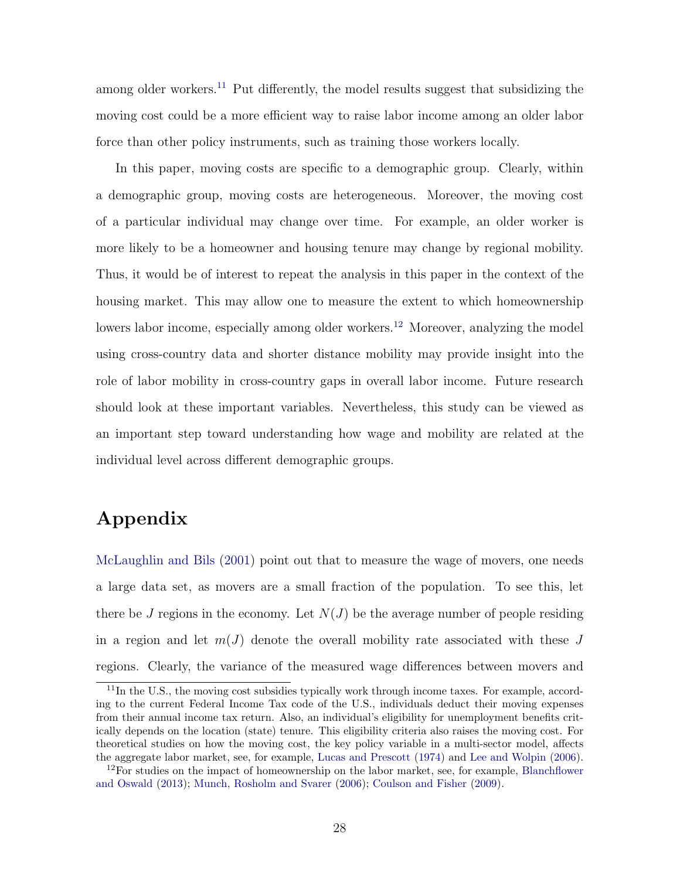among older workers.<sup>[11](#page-30-0)</sup> Put differently, the model results suggest that subsidizing the moving cost could be a more efficient way to raise labor income among an older labor force than other policy instruments, such as training those workers locally.

In this paper, moving costs are specific to a demographic group. Clearly, within a demographic group, moving costs are heterogeneous. Moreover, the moving cost of a particular individual may change over time. For example, an older worker is more likely to be a homeowner and housing tenure may change by regional mobility. Thus, it would be of interest to repeat the analysis in this paper in the context of the housing market. This may allow one to measure the extent to which homeownership lowers labor income, especially among older workers.<sup>[12](#page-30-1)</sup> Moreover, analyzing the model using cross-country data and shorter distance mobility may provide insight into the role of labor mobility in cross-country gaps in overall labor income. Future research should look at these important variables. Nevertheless, this study can be viewed as an important step toward understanding how wage and mobility are related at the individual level across different demographic groups.

# Appendix

[McLaughlin and Bils](#page-33-12) [\(2001\)](#page-33-12) point out that to measure the wage of movers, one needs a large data set, as movers are a small fraction of the population. To see this, let there be J regions in the economy. Let  $N(J)$  be the average number of people residing in a region and let  $m(J)$  denote the overall mobility rate associated with these J regions. Clearly, the variance of the measured wage differences between movers and

<span id="page-30-0"></span><sup>&</sup>lt;sup>11</sup>In the U.S., the moving cost subsidies typically work through income taxes. For example, according to the current Federal Income Tax code of the U.S., individuals deduct their moving expenses from their annual income tax return. Also, an individual's eligibility for unemployment benefits critically depends on the location (state) tenure. This eligibility criteria also raises the moving cost. For theoretical studies on how the moving cost, the key policy variable in a multi-sector model, affects the aggregate labor market, see, for example, [Lucas and Prescott](#page-33-1) [\(1974\)](#page-33-1) and [Lee and Wolpin](#page-33-13) [\(2006\)](#page-33-13).

<span id="page-30-1"></span><sup>&</sup>lt;sup>12</sup>For studies on the impact of homeownership on the labor market, see, for example, [Blanchflower](#page-31-5) [and Oswald](#page-31-5) [\(2013\)](#page-31-5); [Munch, Rosholm and Svarer](#page-33-14) [\(2006\)](#page-33-14); [Coulson and Fisher](#page-32-11) [\(2009\)](#page-32-11).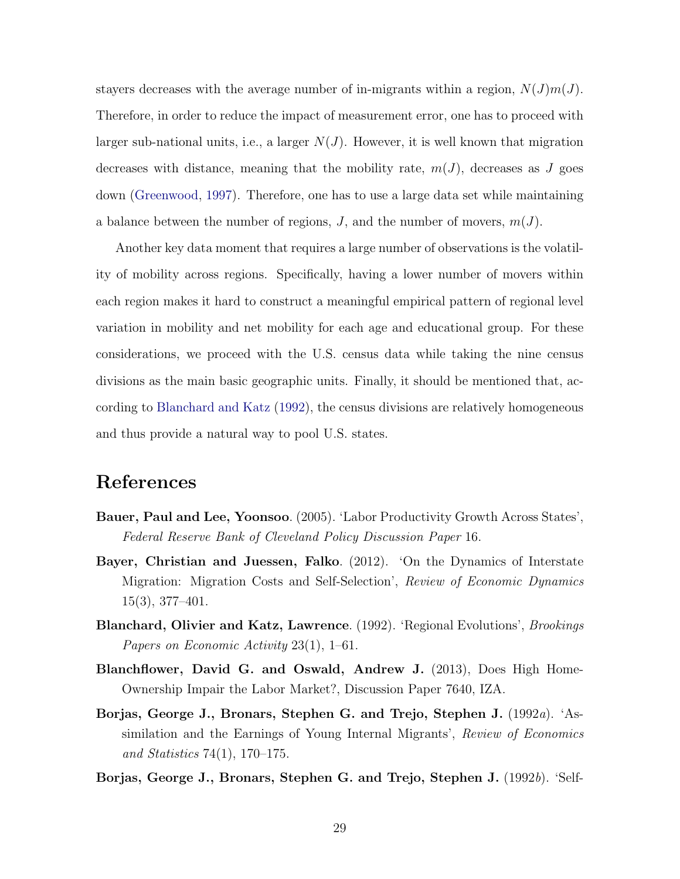stayers decreases with the average number of in-migrants within a region,  $N(J)m(J)$ . Therefore, in order to reduce the impact of measurement error, one has to proceed with larger sub-national units, i.e., a larger  $N(J)$ . However, it is well known that migration decreases with distance, meaning that the mobility rate,  $m(J)$ , decreases as J goes down [\(Greenwood,](#page-32-0) [1997\)](#page-32-0). Therefore, one has to use a large data set while maintaining a balance between the number of regions,  $J$ , and the number of movers,  $m(J)$ .

Another key data moment that requires a large number of observations is the volatility of mobility across regions. Specifically, having a lower number of movers within each region makes it hard to construct a meaningful empirical pattern of regional level variation in mobility and net mobility for each age and educational group. For these considerations, we proceed with the U.S. census data while taking the nine census divisions as the main basic geographic units. Finally, it should be mentioned that, according to [Blanchard and Katz](#page-31-3) [\(1992\)](#page-31-3), the census divisions are relatively homogeneous and thus provide a natural way to pool U.S. states.

# References

- <span id="page-31-4"></span>Bauer, Paul and Lee, Yoonsoo. (2005). 'Labor Productivity Growth Across States', Federal Reserve Bank of Cleveland Policy Discussion Paper 16.
- <span id="page-31-0"></span>Bayer, Christian and Juessen, Falko. (2012). 'On the Dynamics of Interstate Migration: Migration Costs and Self-Selection', Review of Economic Dynamics 15(3), 377–401.
- <span id="page-31-3"></span>Blanchard, Olivier and Katz, Lawrence. (1992). 'Regional Evolutions', Brookings Papers on Economic Activity 23(1), 1–61.
- <span id="page-31-5"></span>Blanchflower, David G. and Oswald, Andrew J. (2013), Does High Home-Ownership Impair the Labor Market?, Discussion Paper 7640, IZA.
- <span id="page-31-1"></span>Borjas, George J., Bronars, Stephen G. and Trejo, Stephen J. (1992a). 'Assimilation and the Earnings of Young Internal Migrants', Review of Economics and Statistics 74(1), 170–175.
- <span id="page-31-2"></span>Borjas, George J., Bronars, Stephen G. and Trejo, Stephen J. (1992b). 'Self-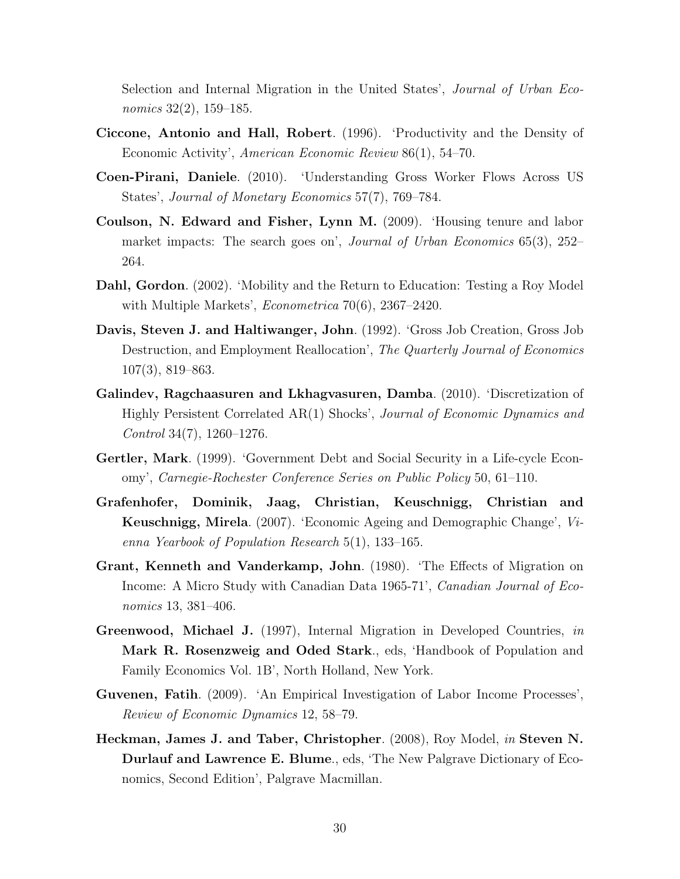Selection and Internal Migration in the United States', Journal of Urban Economics 32(2), 159–185.

- <span id="page-32-9"></span>Ciccone, Antonio and Hall, Robert. (1996). 'Productivity and the Density of Economic Activity', American Economic Review 86(1), 54–70.
- <span id="page-32-1"></span>Coen-Pirani, Daniele. (2010). 'Understanding Gross Worker Flows Across US States', Journal of Monetary Economics 57(7), 769–784.
- <span id="page-32-11"></span>Coulson, N. Edward and Fisher, Lynn M. (2009). 'Housing tenure and labor market impacts: The search goes on', *Journal of Urban Economics* 65(3), 252– 264.
- <span id="page-32-5"></span>Dahl, Gordon. (2002). 'Mobility and the Return to Education: Testing a Roy Model with Multiple Markets', *Econometrica* 70(6), 2367–2420.
- <span id="page-32-2"></span>Davis, Steven J. and Haltiwanger, John. (1992). 'Gross Job Creation, Gross Job Destruction, and Employment Reallocation', The Quarterly Journal of Economics 107(3), 819–863.
- <span id="page-32-8"></span>Galindev, Ragchaasuren and Lkhagvasuren, Damba. (2010). 'Discretization of Highly Persistent Correlated AR(1) Shocks', Journal of Economic Dynamics and Control 34(7), 1260–1276.
- <span id="page-32-6"></span>Gertler, Mark. (1999). 'Government Debt and Social Security in a Life-cycle Economy', Carnegie-Rochester Conference Series on Public Policy 50, 61–110.
- <span id="page-32-7"></span>Grafenhofer, Dominik, Jaag, Christian, Keuschnigg, Christian and Keuschnigg, Mirela. (2007). 'Economic Ageing and Demographic Change', Vienna Yearbook of Population Research 5(1), 133–165.
- <span id="page-32-3"></span>Grant, Kenneth and Vanderkamp, John. (1980). 'The Effects of Migration on Income: A Micro Study with Canadian Data 1965-71', Canadian Journal of Economics 13, 381–406.
- <span id="page-32-0"></span>Greenwood, Michael J. (1997), Internal Migration in Developed Countries, *in* Mark R. Rosenzweig and Oded Stark., eds, 'Handbook of Population and Family Economics Vol. 1B', North Holland, New York.
- <span id="page-32-10"></span>Guvenen, Fatih. (2009). 'An Empirical Investigation of Labor Income Processes', Review of Economic Dynamics 12, 58–79.
- <span id="page-32-4"></span>Heckman, James J. and Taber, Christopher. (2008), Roy Model, in Steven N. Durlauf and Lawrence E. Blume., eds, 'The New Palgrave Dictionary of Economics, Second Edition', Palgrave Macmillan.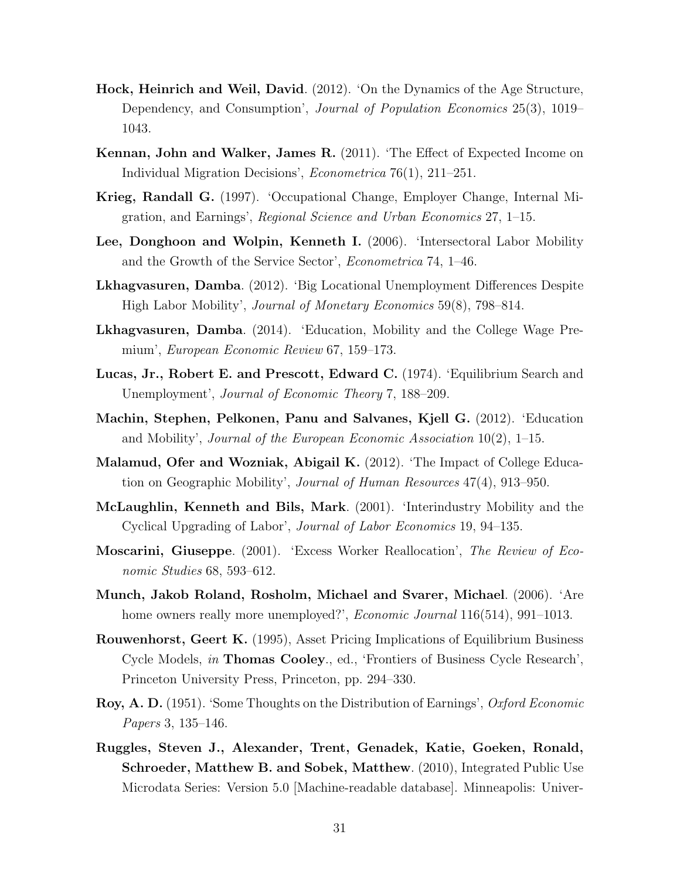- <span id="page-33-10"></span>Hock, Heinrich and Weil, David. (2012). 'On the Dynamics of the Age Structure, Dependency, and Consumption', *Journal of Population Economics* 25(3), 1019– 1043.
- <span id="page-33-2"></span>Kennan, John and Walker, James R. (2011). 'The Effect of Expected Income on Individual Migration Decisions', Econometrica 76(1), 211–251.
- <span id="page-33-7"></span>Krieg, Randall G. (1997). 'Occupational Change, Employer Change, Internal Migration, and Earnings', Regional Science and Urban Economics 27, 1–15.
- <span id="page-33-13"></span>Lee, Donghoon and Wolpin, Kenneth I. (2006). 'Intersectoral Labor Mobility and the Growth of the Service Sector', Econometrica 74, 1–46.
- <span id="page-33-3"></span>Lkhagvasuren, Damba. (2012). 'Big Locational Unemployment Differences Despite High Labor Mobility', Journal of Monetary Economics 59(8), 798–814.
- <span id="page-33-5"></span>Lkhagvasuren, Damba. (2014). 'Education, Mobility and the College Wage Premium', European Economic Review 67, 159–173.
- <span id="page-33-1"></span>Lucas, Jr., Robert E. and Prescott, Edward C. (1974). 'Equilibrium Search and Unemployment', Journal of Economic Theory 7, 188–209.
- <span id="page-33-0"></span>Machin, Stephen, Pelkonen, Panu and Salvanes, Kjell G. (2012). 'Education and Mobility', Journal of the European Economic Association  $10(2)$ , 1–15.
- <span id="page-33-4"></span>Malamud, Ofer and Wozniak, Abigail K. (2012). 'The Impact of College Education on Geographic Mobility', Journal of Human Resources 47(4), 913–950.
- <span id="page-33-12"></span>McLaughlin, Kenneth and Bils, Mark. (2001). 'Interindustry Mobility and the Cyclical Upgrading of Labor', Journal of Labor Economics 19, 94–135.
- <span id="page-33-8"></span>Moscarini, Giuseppe. (2001). 'Excess Worker Reallocation', The Review of Economic Studies 68, 593–612.
- <span id="page-33-14"></span>Munch, Jakob Roland, Rosholm, Michael and Svarer, Michael. (2006). 'Are home owners really more unemployed?', *Economic Journal* 116(514), 991–1013.
- <span id="page-33-11"></span>Rouwenhorst, Geert K. (1995), Asset Pricing Implications of Equilibrium Business Cycle Models, in Thomas Cooley., ed., 'Frontiers of Business Cycle Research', Princeton University Press, Princeton, pp. 294–330.
- <span id="page-33-6"></span>Roy, A. D. (1951). 'Some Thoughts on the Distribution of Earnings', Oxford Economic Papers 3, 135–146.
- <span id="page-33-9"></span>Ruggles, Steven J., Alexander, Trent, Genadek, Katie, Goeken, Ronald, Schroeder, Matthew B. and Sobek, Matthew. (2010), Integrated Public Use Microdata Series: Version 5.0 [Machine-readable database]. Minneapolis: Univer-